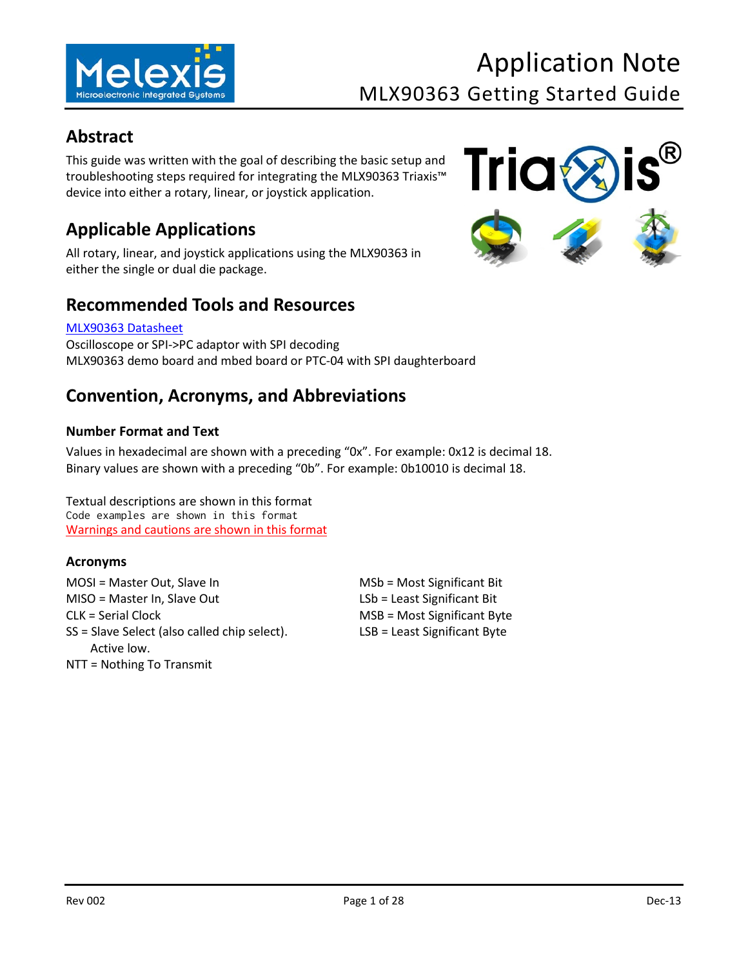

## <span id="page-0-0"></span>**Abstract**

This guide was written with the goal of describing the basic setup and troubleshooting steps required for integrating the MLX90363 Triaxis™ device into either a rotary, linear, or joystick application.

## <span id="page-0-1"></span>**Applicable Applications**

All rotary, linear, and joystick applications using the MLX90363 in either the single or dual die package.

### <span id="page-0-2"></span>**Recommended Tools and Resources**

#### [MLX90363 Datasheet](http://melexis.com/Hall-Effect-Sensor-ICs/Triaxis%C2%AE-Hall-ICs/MLX90363-759.aspx)

Oscilloscope or SPI->PC adaptor with SPI decoding MLX90363 demo board and mbed board or PTC-04 with SPI daughterboard

## <span id="page-0-3"></span>**Convention, Acronyms, and Abbreviations**

#### <span id="page-0-4"></span>**Number Format and Text**

Values in hexadecimal are shown with a preceding "0x". For example: 0x12 is decimal 18. Binary values are shown with a preceding "0b". For example: 0b10010 is decimal 18.

Textual descriptions are shown in this format Code examples are shown in this format Warnings and cautions are shown in this format

#### <span id="page-0-5"></span>**Acronyms**

MOSI = Master Out, Slave In MSb = Most Significant Bit MISO = Master In, Slave Out LSb = Least Significant Bit CLK = Serial Clock MSB = Most Significant Byte SS = Slave Select (also called chip select). Active low. NTT = Nothing To Transmit

LSB = Least Significant Byte

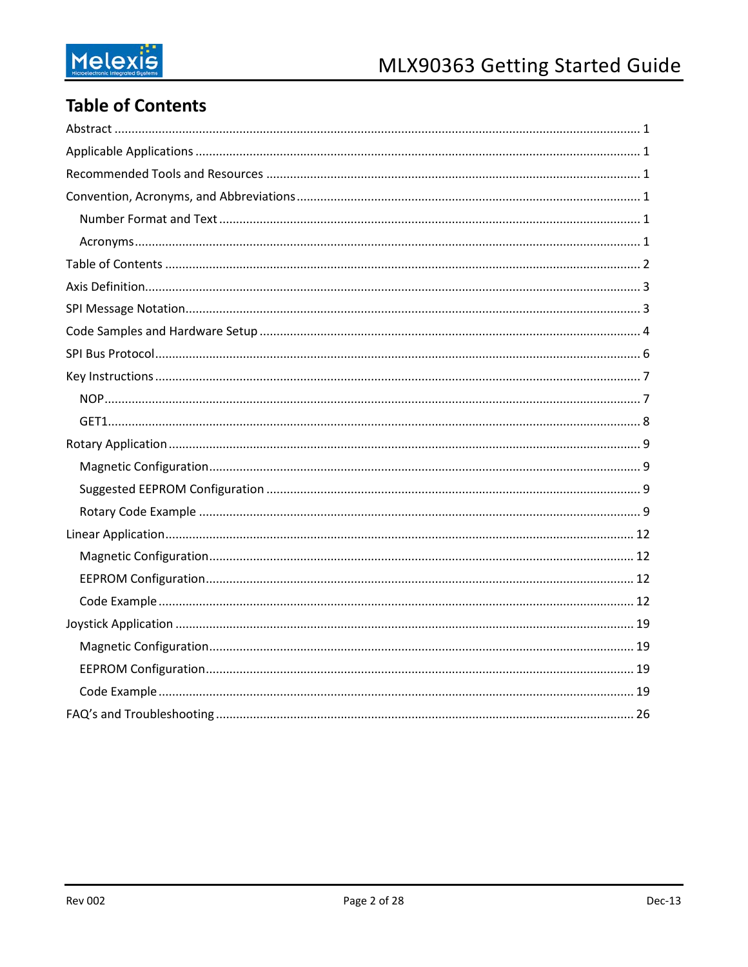## <span id="page-1-0"></span>**Table of Contents**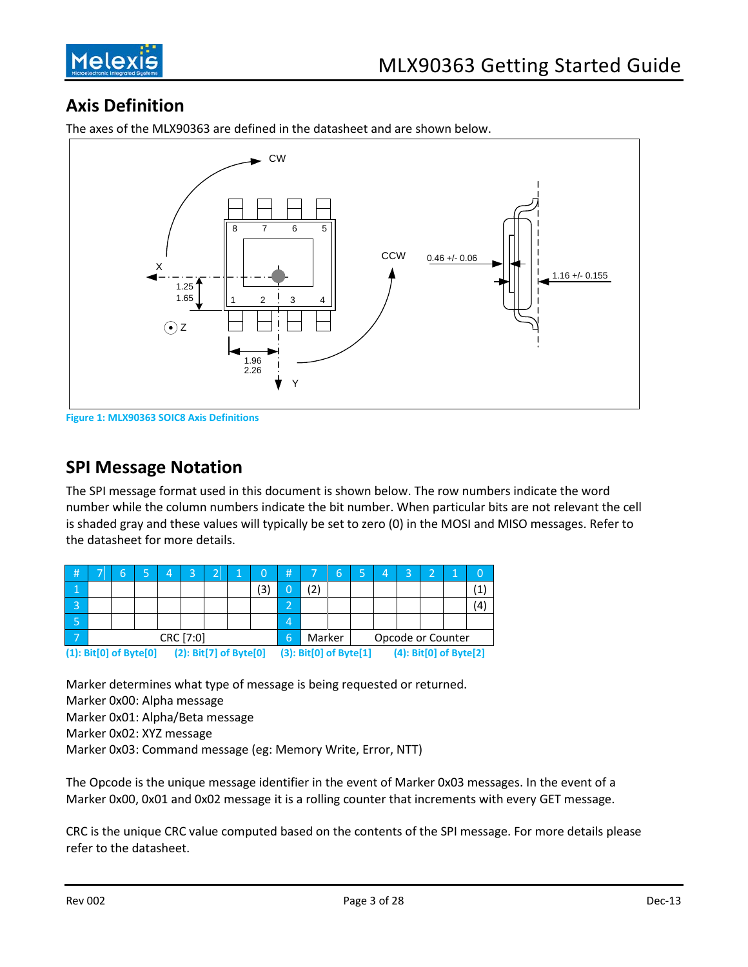

## <span id="page-2-0"></span>**Axis Definition**



The axes of the MLX90363 are defined in the datasheet and are shown below.

**Figure 1: MLX90363 SOIC8 Axis Definitions**

### <span id="page-2-1"></span>**SPI Message Notation**

The SPI message format used in this document is shown below. The row numbers indicate the word number while the column numbers indicate the bit number. When particular bits are not relevant the cell is shaded gray and these values will typically be set to zero (0) in the MOSI and MISO messages. Refer to the datasheet for more details.

| #                                                |           | 6 |  | $\overline{4}$ | 3 | ി | 1 | 0  | #                      |     | 6 | Δ, | 3 | ำ                      |  | $\Omega$ |
|--------------------------------------------------|-----------|---|--|----------------|---|---|---|----|------------------------|-----|---|----|---|------------------------|--|----------|
| т                                                |           |   |  |                |   |   |   | (3 |                        | '2) |   |    |   |                        |  |          |
| 3                                                |           |   |  |                |   |   |   |    |                        |     |   |    |   |                        |  | Ι4       |
| ί5,                                              |           |   |  |                |   |   |   |    | Д                      |     |   |    |   |                        |  |          |
|                                                  | CRC [7:0] |   |  |                |   |   |   | 6  | Marker                 |     |   |    |   | Opcode or Counter      |  |          |
| (2): Bit[7] of Byte[0]<br>(1): Bit[0] of Byte[0] |           |   |  |                |   |   |   |    | (3): Bit[0] of Byte[1] |     |   |    |   | (4): Bit[0] of Byte[2] |  |          |

Marker determines what type of message is being requested or returned. Marker 0x00: Alpha message Marker 0x01: Alpha/Beta message Marker 0x02: XYZ message Marker 0x03: Command message (eg: Memory Write, Error, NTT)

The Opcode is the unique message identifier in the event of Marker 0x03 messages. In the event of a Marker 0x00, 0x01 and 0x02 message it is a rolling counter that increments with every GET message.

CRC is the unique CRC value computed based on the contents of the SPI message. For more details please refer to the datasheet.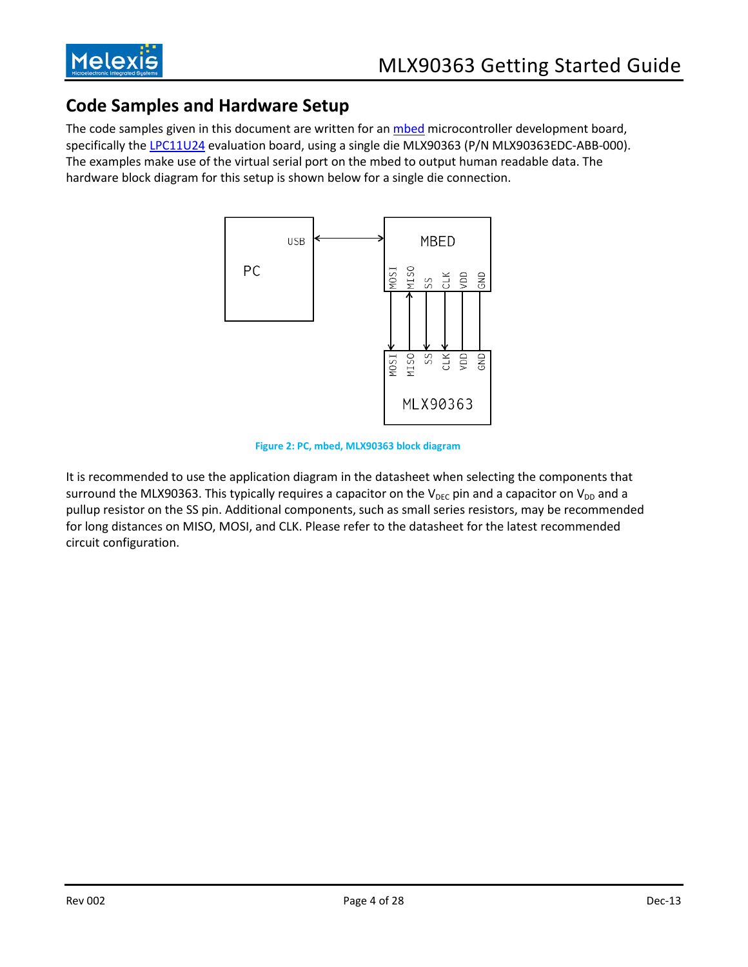

## <span id="page-3-0"></span>**Code Samples and Hardware Setup**

The code samples given in this document are written for an [mbed](http://mbed.org/) microcontroller development board, specifically th[e LPC11U24](https://mbed.org/platforms/mbed-LPC11U24/) evaluation board, using a single die MLX90363 (P/N MLX90363EDC-ABB-000). The examples make use of the virtual serial port on the mbed to output human readable data. The hardware block diagram for this setup is shown below for a single die connection.



**Figure 2: PC, mbed, MLX90363 block diagram**

It is recommended to use the application diagram in the datasheet when selecting the components that surround the MLX90363. This typically requires a capacitor on the  $V_{DEC}$  pin and a capacitor on  $V_{DD}$  and a pullup resistor on the SS pin. Additional components, such as small series resistors, may be recommended for long distances on MISO, MOSI, and CLK. Please refer to the datasheet for the latest recommended circuit configuration.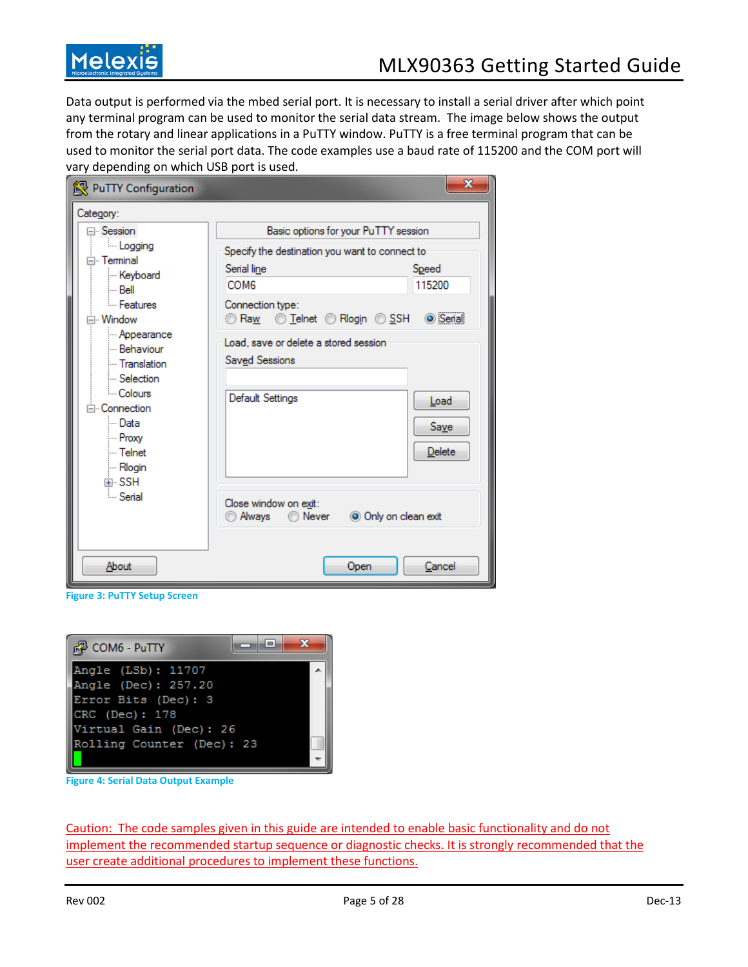

Data output is performed via the mbed serial port. It is necessary to install a serial driver after which point any terminal program can be used to monitor the serial data stream. The image below shows the output from the rotary and linear applications in a PuTTY window. PuTTY is a free terminal program that can be used to monitor the serial port data. The code examples use a baud rate of 115200 and the COM port will vary depending on which USB port is used.

| PuTTY Configuration                                                                     |                                                               | x                             |
|-----------------------------------------------------------------------------------------|---------------------------------------------------------------|-------------------------------|
| Category:                                                                               |                                                               |                               |
| ⊟⊹Session                                                                               | Basic options for your PuTTY session                          |                               |
| <b>Logging</b><br>⊟ Terminal                                                            | Specify the destination you want to connect to                |                               |
| Keyboard                                                                                | Serial line                                                   | Speed                         |
| !… Bell                                                                                 | COM <sub>6</sub>                                              | 115200                        |
| <b>Eeatures</b><br>⊟ Window                                                             | Connection type:<br>Raw 1elnet 8 Rlogin 8 SSH 9 Serial        |                               |
| - Appearance<br>- Behaviour<br>- Translation<br>- Selection                             | Load, save or delete a stored session<br>Saved Sessions       |                               |
| - Colours<br>$\Box$ Connection<br>l… Data<br>- Proxy<br>l⊶ Telnet<br>l… Rlogin<br>中 SSH | Default Settings                                              | Load<br><b>Save</b><br>Delete |
| <b>Serial</b>                                                                           | Close window on exit:<br>O Only on clean exit<br>Always Never |                               |
| About                                                                                   | Open                                                          | Cancel                        |

**Figure 3: PuTTY Setup Screen**



**Figure 4: Serial Data Output Example**

Caution: The code samples given in this guide are intended to enable basic functionality and do not implement the recommended startup sequence or diagnostic checks. It is strongly recommended that the user create additional procedures to implement these functions.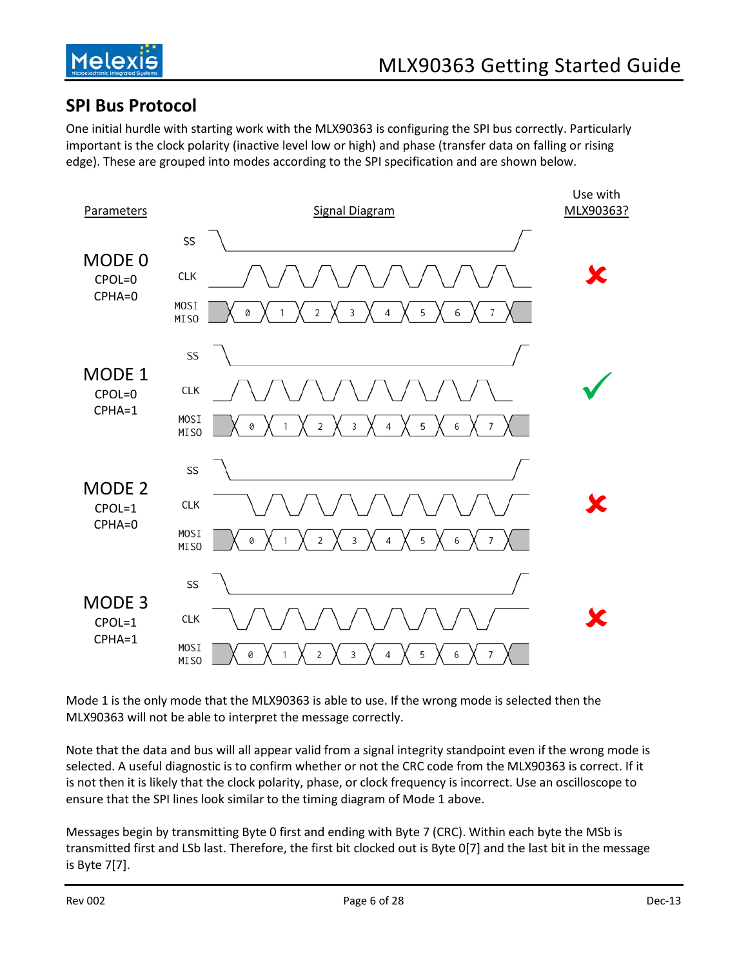

## <span id="page-5-0"></span>**SPI Bus Protocol**

One initial hurdle with starting work with the MLX90363 is configuring the SPI bus correctly. Particularly important is the clock polarity (inactive level low or high) and phase (transfer data on falling or rising edge). These are grouped into modes according to the SPI specification and are shown below.



Mode 1 is the only mode that the MLX90363 is able to use. If the wrong mode is selected then the MLX90363 will not be able to interpret the message correctly.

Note that the data and bus will all appear valid from a signal integrity standpoint even if the wrong mode is selected. A useful diagnostic is to confirm whether or not the CRC code from the MLX90363 is correct. If it is not then it is likely that the clock polarity, phase, or clock frequency is incorrect. Use an oscilloscope to ensure that the SPI lines look similar to the timing diagram of Mode 1 above.

Messages begin by transmitting Byte 0 first and ending with Byte 7 (CRC). Within each byte the MSb is transmitted first and LSb last. Therefore, the first bit clocked out is Byte 0[7] and the last bit in the message is Byte 7[7].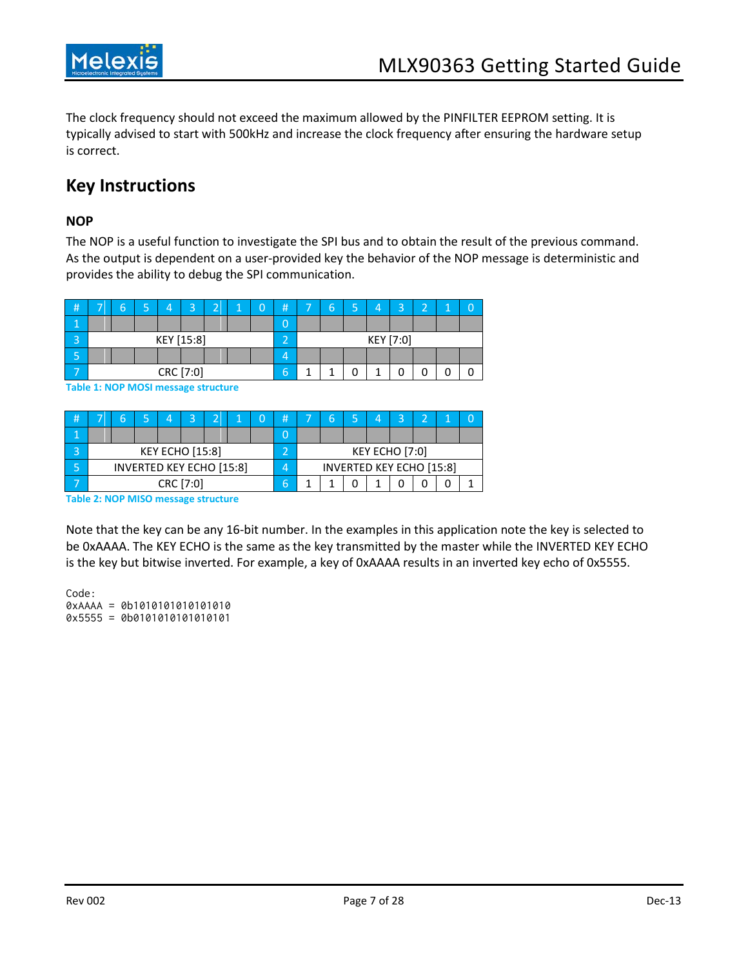

The clock frequency should not exceed the maximum allowed by the PINFILTER EEPROM setting. It is typically advised to start with 500kHz and increase the clock frequency after ensuring the hardware setup is correct.

## <span id="page-6-0"></span>**Key Instructions**

#### <span id="page-6-1"></span>**NOP**

The NOP is a useful function to investigate the SPI bus and to obtain the result of the previous command. As the output is dependent on a user-provided key the behavior of the NOP message is deterministic and provides the ability to debug the SPI communication.

| #  | -         | б | - |  | $\sim$     | ÷ |  | $\overline{0}$ | # | -         | b |  |  | $\overline{\phantom{0}}$ | $\sim$ |  |  |
|----|-----------|---|---|--|------------|---|--|----------------|---|-----------|---|--|--|--------------------------|--------|--|--|
|    |           |   |   |  |            |   |  |                |   |           |   |  |  |                          |        |  |  |
|    |           |   |   |  | KEY [15:8] |   |  |                | - | KEY [7:0] |   |  |  |                          |        |  |  |
| כי |           |   |   |  |            |   |  |                |   |           |   |  |  |                          |        |  |  |
|    | CRC [7:0] |   |   |  |            |   |  | h              |   |           |   |  |  |                          |        |  |  |

**Table 1: NOP MOSI message structure**

| # | -                               |  |  |  | $\overline{\phantom{a}}$ |  |  |  | $\bf{H}$ | _ |  |                | 一                               |  |
|---|---------------------------------|--|--|--|--------------------------|--|--|--|----------|---|--|----------------|---------------------------------|--|
|   |                                 |  |  |  |                          |  |  |  |          |   |  |                |                                 |  |
|   |                                 |  |  |  | <b>KEY ECHO [15:8]</b>   |  |  |  |          |   |  | KEY ECHO [7:0] |                                 |  |
|   | <b>INVERTED KEY ECHO [15:8]</b> |  |  |  |                          |  |  |  |          |   |  |                | <b>INVERTED KEY ECHO [15:8]</b> |  |
|   | CRC [7:0]                       |  |  |  |                          |  |  |  |          |   |  |                |                                 |  |

**Table 2: NOP MISO message structure**

Note that the key can be any 16-bit number. In the examples in this application note the key is selected to be 0xAAAA. The KEY ECHO is the same as the key transmitted by the master while the INVERTED KEY ECHO is the key but bitwise inverted. For example, a key of 0xAAAA results in an inverted key echo of 0x5555.

Code: 0xAAAA = 0b1010101010101010 0x5555 = 0b0101010101010101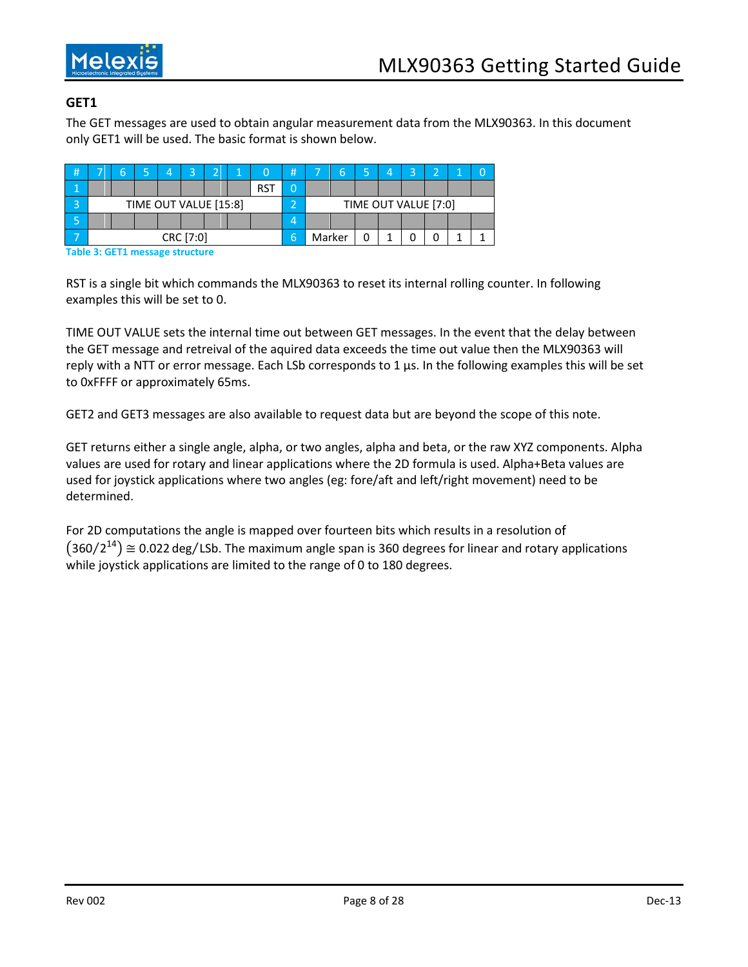

#### <span id="page-7-0"></span>**GET1**

The GET messages are used to obtain angular measurement data from the MLX90363. In this document only GET1 will be used. The basic format is shown below.

| # | -         |  |                       |  | $\overline{\phantom{0}}$ | $\overline{\phantom{0}}$ | и |            |   | -                    | b |  |  | ⊇ | $\overline{\phantom{a}}$ |  |  |
|---|-----------|--|-----------------------|--|--------------------------|--------------------------|---|------------|---|----------------------|---|--|--|---|--------------------------|--|--|
|   |           |  |                       |  |                          |                          |   | <b>RST</b> |   |                      |   |  |  |   |                          |  |  |
| ⌒ |           |  | TIME OUT VALUE [15:8] |  |                          |                          |   |            | ◚ | TIME OUT VALUE [7:0] |   |  |  |   |                          |  |  |
|   |           |  |                       |  |                          |                          |   |            |   |                      |   |  |  |   |                          |  |  |
|   | CRC [7:0] |  |                       |  |                          |                          | b | Marker     |   |                      |   |  |  |   |                          |  |  |

**Table 3: GET1 message structure**

RST is a single bit which commands the MLX90363 to reset its internal rolling counter. In following examples this will be set to 0.

TIME OUT VALUE sets the internal time out between GET messages. In the event that the delay between the GET message and retreival of the aquired data exceeds the time out value then the MLX90363 will reply with a NTT or error message. Each LSb corresponds to 1 μs. In the following examples this will be set to 0xFFFF or approximately 65ms.

GET2 and GET3 messages are also available to request data but are beyond the scope of this note.

GET returns either a single angle, alpha, or two angles, alpha and beta, or the raw XYZ components. Alpha values are used for rotary and linear applications where the 2D formula is used. Alpha+Beta values are used for joystick applications where two angles (eg: fore/aft and left/right movement) need to be determined.

For 2D computations the angle is mapped over fourteen bits which results in a resolution of  $(360 / 2^{14}) \approx 0.022$  deg/LSb. The maximum angle span is 360 degrees for linear and rotary applications while joystick applications are limited to the range of 0 to 180 degrees.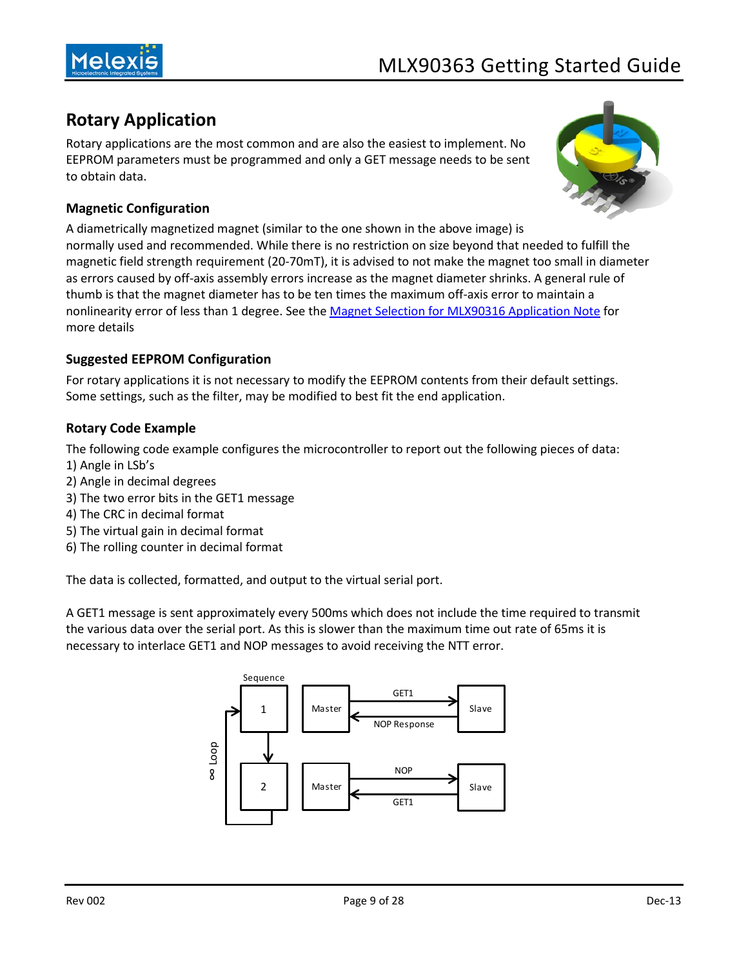

## <span id="page-8-0"></span>**Rotary Application**

Rotary applications are the most common and are also the easiest to implement. No EEPROM parameters must be programmed and only a GET message needs to be sent to obtain data.



#### <span id="page-8-1"></span>**Magnetic Configuration**

A diametrically magnetized magnet (similar to the one shown in the above image) is normally used and recommended. While there is no restriction on size beyond that needed to fulfill the magnetic field strength requirement (20-70mT), it is advised to not make the magnet too small in diameter as errors caused by off-axis assembly errors increase as the magnet diameter shrinks. A general rule of thumb is that the magnet diameter has to be ten times the maximum off-axis error to maintain a nonlinearity error of less than 1 degree. See the [Magnet Selection for MLX90316 Application Note](http://melexis.com/Assets/Magnet-Application-Note-MLX90316-5221.aspx) for more details

#### <span id="page-8-2"></span>**Suggested EEPROM Configuration**

For rotary applications it is not necessary to modify the EEPROM contents from their default settings. Some settings, such as the filter, may be modified to best fit the end application.

#### <span id="page-8-3"></span>**Rotary Code Example**

The following code example configures the microcontroller to report out the following pieces of data:

- 1) Angle in LSb's
- 2) Angle in decimal degrees
- 3) The two error bits in the GET1 message
- 4) The CRC in decimal format
- 5) The virtual gain in decimal format
- 6) The rolling counter in decimal format

The data is collected, formatted, and output to the virtual serial port.

A GET1 message is sent approximately every 500ms which does not include the time required to transmit the various data over the serial port. As this is slower than the maximum time out rate of 65ms it is necessary to interlace GET1 and NOP messages to avoid receiving the NTT error.

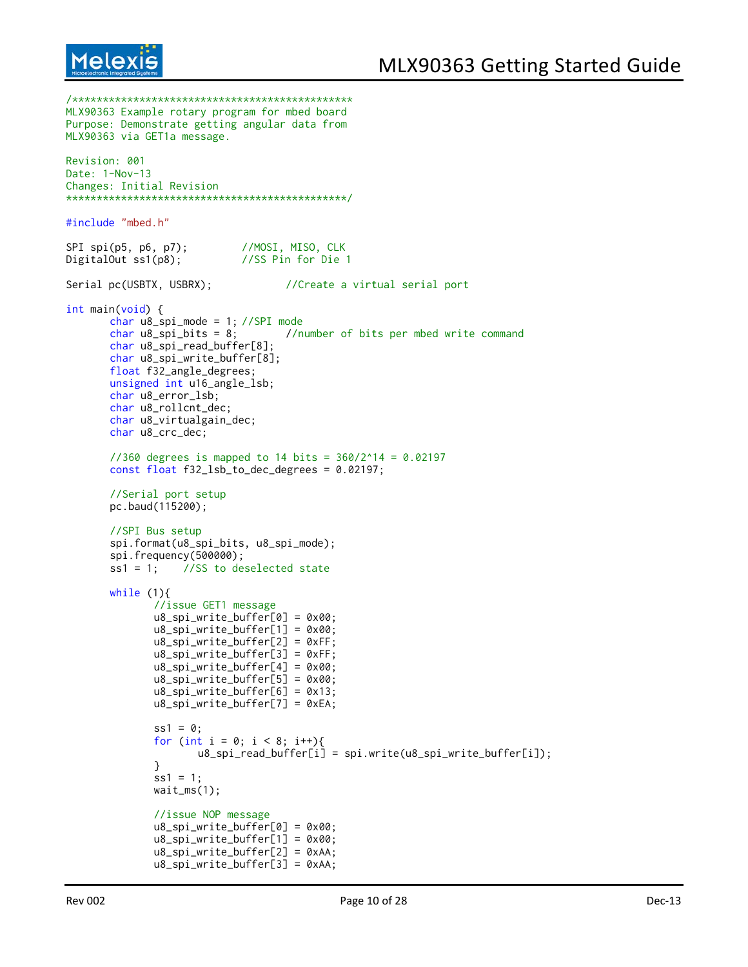```
Melex
```

```
/**********************************************
MLX90363 Example rotary program for mbed board
Purpose: Demonstrate getting angular data from
MLX90363 via GET1a message.
Revision: 001
Date: 1-Nov-13
Changes: Initial Revision
**********************************************/
#include "mbed.h"
SPI spi(p5, p6, p7); //MOSI, MISO, CLK
DigitalOut ss1(p8); //SS Pin for Die 1
Serial pc(USBTX, USBRX); \frac{1}{2} //Create a virtual serial port
int main(void) {
       char u8_spi_mode = 1; //SPI mode
       char u8_spi_bits = 8; //number of bits per mbed write command
       char u8_spi_read_buffer[8];
       char u8_spi_write_buffer[8];
       float f32_angle_degrees;
       unsigned int u16_angle_lsb;
       char u8_error_lsb;
       char u8_rollcnt_dec;
       char u8_virtualgain_dec;
       char u8_crc_dec;
       1/360 degrees is mapped to 14 bits = 360/2^14 = 0.02197const float f32_lsb_to_dec_degrees = 0.02197;
       //Serial port setup
       pc.baud(115200);
       //SPI Bus setup
       spi.format(u8_spi_bits, u8_spi_mode);
       spi.frequency(500000);
       ss1 = 1; //SS to deselected state
       while (1){
              //issue GET1 message
              u8_spi_write_buffer[0] = 0x00;
              u8_spi_write_buffer[1] = 0x00;
              u8_spi_write_buffer[2] = 0xFF;
              u8_spi_write_buffer[3] = 0xFF;
              u8_spi_write_buffer[4] = 0x00;
              u8_spi_write_buffer[5] = 0x00;
              u8_spi_write_buffer[6] = 0x13;
              u8_spi_write_buffer[7] = 0xEA;
              ss1 = 0;
              for (int i = 0; i < 8; i^{++}){
                     u8_spi_read_buffer[i] = spi.write(u8_spi_write_buffer[i]);
              }
              ss1 = 1;
              waitms(1);//issue NOP message
              u8_spi_write_buffer[0] = 0x00;
              u8_spi_write_buffer[1] = 0x00;
              u8_spi_write_buffer[2] = 0xAA;
              u8_spi_write_buffer[3] = 0xAA;
```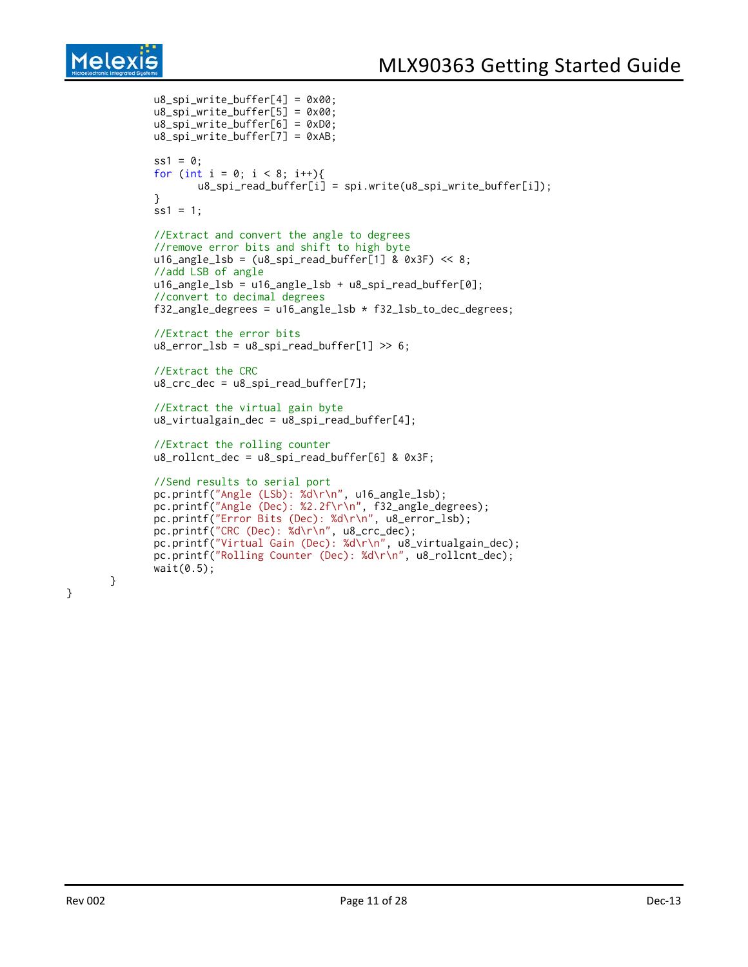```
u8_spi_write_buffer[4] = 0x00;
u8_spi_write_buffer[5] = 0x00;
u8_spi_write_buffer[6] = 0xD0;
u8_spi_write_buffer[7] = 0xAB;
ss1 = 0;
for (int i = 0; i < 8; i++){
       u8_spi_read_buffer[i] = spi.write(u8_spi_write_buffer[i]);
}
ss1 = 1;
//Extract and convert the angle to degrees
//remove error bits and shift to high byte
u16_angle_lsb = (u8_spi_read_buffer[1] & 0x3F) << 8;
//add LSB of angle
u16_angle_lsb = u16_angle_lsb + u8_spi_read_buffer[0];
//convert to decimal degrees
f32_angle_degrees = u16_angle_lsb * f32_lsb_to_dec_degrees;
//Extract the error bits
u8_error_lsb = u8_spi_read_buffer[1] >> 6;//Extract the CRC
u8\_crc\_dec = u8\_spin\_read\_buffer[7];//Extract the virtual gain byte
u8_virtualgain_dec = u8_spi_read_buffer[4];
//Extract the rolling counter
u8_rollcnt_dec = u8_spi_read_buffer[6] & 0x3F;
//Send results to serial port
pc.printf("Angle (LSb): %d\r\n", u16_angle_lsb);
pc.printf("Angle (Dec): %2.2f\r\n", f32_angle_degrees);
pc.printf("Error Bits (Dec): %d\r\n", u8_error_lsb);
pc.printf("CRC (Dec): %d\r\n", u8_crc_dec);
pc.printf("Virtual Gain (Dec): %d\r\n", u8_virtualgain_dec);
pc.printf("Rolling Counter (Dec): %d\r\n", u8_rollcnt_dec);
wait(0.5);
```
}

}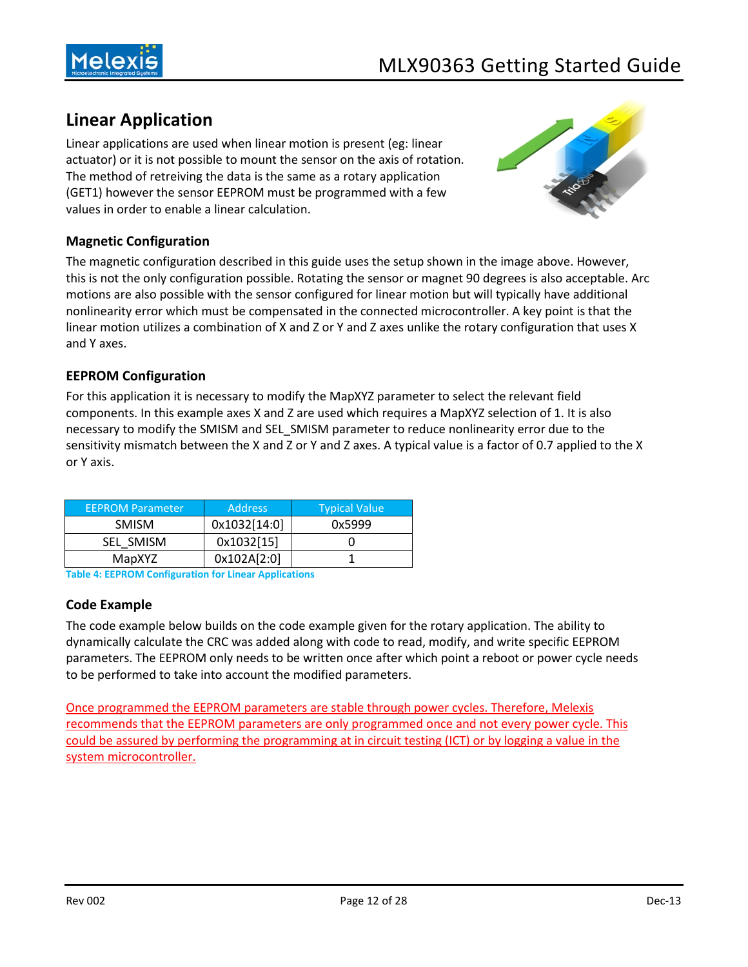

## <span id="page-11-0"></span>**Linear Application**

Linear applications are used when linear motion is present (eg: linear actuator) or it is not possible to mount the sensor on the axis of rotation. The method of retreiving the data is the same as a rotary application (GET1) however the sensor EEPROM must be programmed with a few values in order to enable a linear calculation.



#### <span id="page-11-1"></span>**Magnetic Configuration**

The magnetic configuration described in this guide uses the setup shown in the image above. However, this is not the only configuration possible. Rotating the sensor or magnet 90 degrees is also acceptable. Arc motions are also possible with the sensor configured for linear motion but will typically have additional nonlinearity error which must be compensated in the connected microcontroller. A key point is that the linear motion utilizes a combination of X and Z or Y and Z axes unlike the rotary configuration that uses X and Y axes.

#### <span id="page-11-2"></span>**EEPROM Configuration**

For this application it is necessary to modify the MapXYZ parameter to select the relevant field components. In this example axes X and Z are used which requires a MapXYZ selection of 1. It is also necessary to modify the SMISM and SEL\_SMISM parameter to reduce nonlinearity error due to the sensitivity mismatch between the X and Z or Y and Z axes. A typical value is a factor of 0.7 applied to the X or Y axis.

| <b>EEPROM Parameter</b> | <b>Address</b> | <b>Typical Value</b> |
|-------------------------|----------------|----------------------|
| <b>SMISM</b>            | 0x1032[14:0]   | 0x5999               |
| SEL SMISM               | 0x1032[15]     |                      |
| MapXYZ                  | 0x102A[2:0]    |                      |

<span id="page-11-3"></span>**Table 4: EEPROM Configuration for Linear Applications**

#### **Code Example**

The code example below builds on the code example given for the rotary application. The ability to dynamically calculate the CRC was added along with code to read, modify, and write specific EEPROM parameters. The EEPROM only needs to be written once after which point a reboot or power cycle needs to be performed to take into account the modified parameters.

Once programmed the EEPROM parameters are stable through power cycles. Therefore, Melexis recommends that the EEPROM parameters are only programmed once and not every power cycle. This could be assured by performing the programming at in circuit testing (ICT) or by logging a value in the system microcontroller.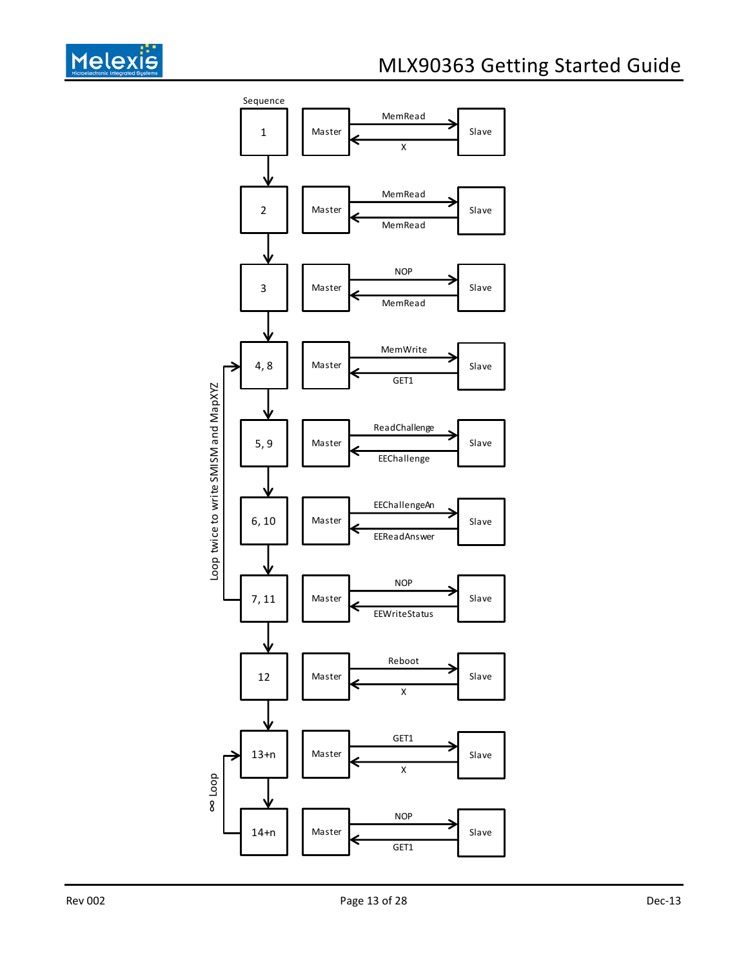

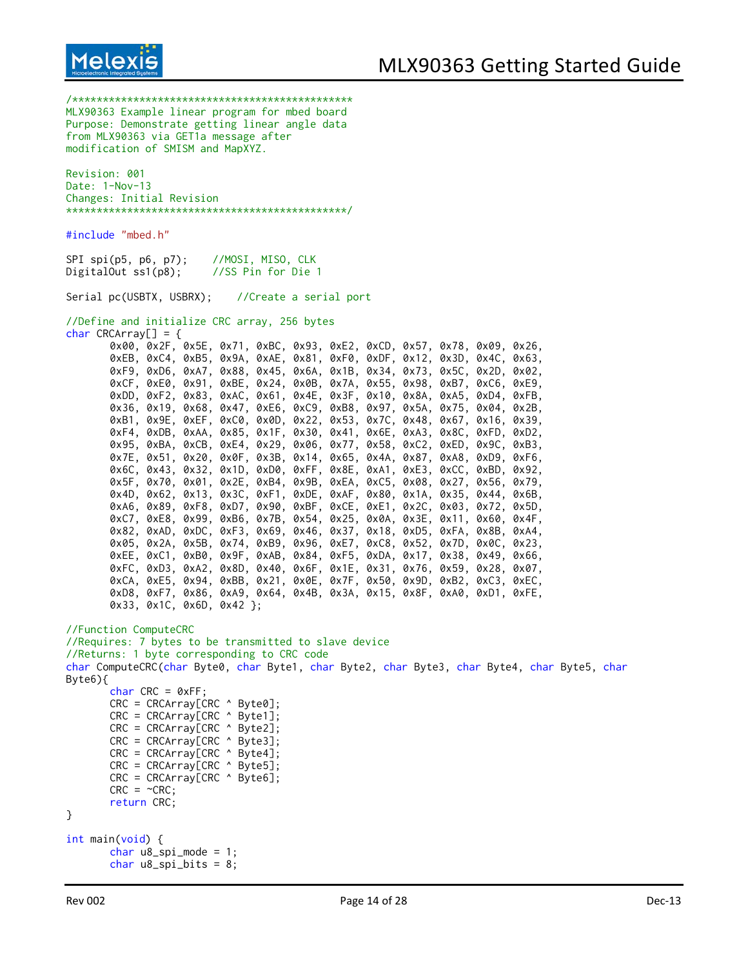

/\*\*\*\*\*\*\*\*\*\*\*\*\*\*\*\*\*\*\*\*\*\*\*\*\*\*\*\*\*\*\*\*\*\*\*\*\*\*\*\*\*\*\*\*\*\* MLX90363 Example linear program for mbed board Purpose: Demonstrate getting linear angle data from MLX90363 via GET1a message after modification of SMISM and MapXYZ. Revision: 001 Date: 1-Nov-13 Changes: Initial Revision \*\*\*\*\*\*\*\*\*\*\*\*\*\*\*\*\*\*\*\*\*\*\*\*\*\*\*\*\*\*\*\*\*\*\*\*\*\*\*\*\*\*\*\*\*\*/ #include "mbed.h" SPI spi(p5, p6, p7); //MOSI, MISO, CLK DigitalOut ss1(p8); //SS Pin for Die 1 Serial pc(USBTX, USBRX); //Create a serial port //Define and initialize CRC array, 256 bytes char  $CRCArray[] = {$ 0x00, 0x2F, 0x5E, 0x71, 0xBC, 0x93, 0xE2, 0xCD, 0x57, 0x78, 0x09, 0x26, 0xEB, 0xC4, 0xB5, 0x9A, 0xAE, 0x81, 0xF0, 0xDF, 0x12, 0x3D, 0x4C, 0x63, 0xF9, 0xD6, 0xA7, 0x88, 0x45, 0x6A, 0x1B, 0x34, 0x73, 0x5C, 0x2D, 0x02, 0xCF, 0xE0, 0x91, 0xBE, 0x24, 0x0B, 0x7A, 0x55, 0x98, 0xB7, 0xC6, 0xE9, 0xDD, 0xF2, 0x83, 0xAC, 0x61, 0x4E, 0x3F, 0x10, 0x8A, 0xA5, 0xD4, 0xFB, 0x36, 0x19, 0x68, 0x47, 0xE6, 0xC9, 0xB8, 0x97, 0x5A, 0x75, 0x04, 0x2B, 0xB1, 0x9E, 0xEF, 0xC0, 0x0D, 0x22, 0x53, 0x7C, 0x48, 0x67, 0x16, 0x39, 0xF4, 0xDB, 0xAA, 0x85, 0x1F, 0x30, 0x41, 0x6E, 0xA3, 0x8C, 0xFD, 0xD2, 0x95, 0xBA, 0xCB, 0xE4, 0x29, 0x06, 0x77, 0x58, 0xC2, 0xED, 0x9C, 0xB3, 0x7E, 0x51, 0x20, 0x0F, 0x3B, 0x14, 0x65, 0x4A, 0x87, 0xA8, 0xD9, 0xF6, 0x6C, 0x43, 0x32, 0x1D, 0xD0, 0xFF, 0x8E, 0xA1, 0xE3, 0xCC, 0xBD, 0x92, 0x5F, 0x70, 0x01, 0x2E, 0xB4, 0x9B, 0xEA, 0xC5, 0x08, 0x27, 0x56, 0x79, 0x4D, 0x62, 0x13, 0x3C, 0xF1, 0xDE, 0xAF, 0x80, 0x1A, 0x35, 0x44, 0x6B, 0xA6, 0x89, 0xF8, 0xD7, 0x90, 0xBF, 0xCE, 0xE1, 0x2C, 0x03, 0x72, 0x5D, 0xC7, 0xE8, 0x99, 0xB6, 0x7B, 0x54, 0x25, 0x0A, 0x3E, 0x11, 0x60, 0x4F, 0x82, 0xAD, 0xDC, 0xF3, 0x69, 0x46, 0x37, 0x18, 0xD5, 0xFA, 0x8B, 0xA4, 0x05, 0x2A, 0x5B, 0x74, 0xB9, 0x96, 0xE7, 0xC8, 0x52, 0x7D, 0x0C, 0x23, 0xEE, 0xC1, 0xB0, 0x9F, 0xAB, 0x84, 0xF5, 0xDA, 0x17, 0x38, 0x49, 0x66, 0xFC, 0xD3, 0xA2, 0x8D, 0x40, 0x6F, 0x1E, 0x31, 0x76, 0x59, 0x28, 0x07, 0xCA, 0xE5, 0x94, 0xBB, 0x21, 0x0E, 0x7F, 0x50, 0x9D, 0xB2, 0xC3, 0xEC, 0xD8, 0xF7, 0x86, 0xA9, 0x64, 0x4B, 0x3A, 0x15, 0x8F, 0xA0, 0xD1, 0xFE, 0x33, 0x1C, 0x6D, 0x42 }; //Function ComputeCRC //Requires: 7 bytes to be transmitted to slave device //Returns: 1 byte corresponding to CRC code char ComputeCRC(char Byte0, char Byte1, char Byte2, char Byte3, char Byte4, char Byte5, char Byte6){  $char$  CRC =  $ØxFF$ ; CRC = CRCArray[CRC ^ Byte0]; CRC = CRCArray[CRC ^ Byte1]; CRC = CRCArray[CRC ^ Byte2]; CRC = CRCArray[CRC ^ Byte3]; CRC = CRCArray[CRC ^ Byte4];  $CRC = CRCArray[CRC \sim \text{Byte5}];$ CRC = CRCArray[CRC ^ Byte6];  $CRC = \sim CRC$ : return CRC; } int main(void) { char  $u8$ \_spi\_mode = 1; char  $u8$ \_spi\_bits = 8;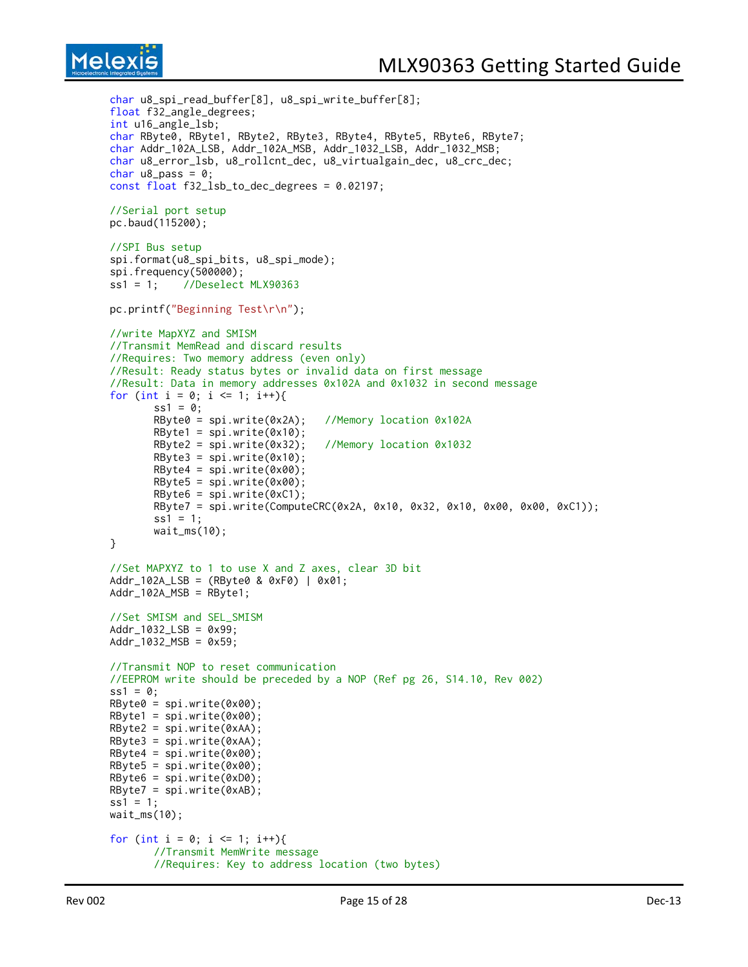```
char u8_spi_read_buffer[8], u8_spi_write_buffer[8];
float f32_angle_degrees;
int u16_angle_lsb;
char RByte0, RByte1, RByte2, RByte3, RByte4, RByte5, RByte6, RByte7;
char Addr_102A_LSB, Addr_102A_MSB, Addr_1032_LSB, Addr_1032_MSB;
char u8_error_lsb, u8_rollcnt_dec, u8_virtualgain_dec, u8_crc_dec;
char u8_pass = 0;
const float f32_lsb_to_dec_degrees = 0.02197;
//Serial port setup
pc.baud(115200);
//SPI Bus setup
spi.format(u8_spi_bits, u8_spi_mode);
spi.frequency(500000);
ss1 = 1; //Deselect MLX90363
pc.printf("Beginning Test\r\n");
//write MapXYZ and SMISM
//Transmit MemRead and discard results
//Requires: Two memory address (even only)
//Result: Ready status bytes or invalid data on first message
//Result: Data in memory addresses 0x102A and 0x1032 in second message
for (int i = 0; i \le 1; i++)ss1 = 0;RByte0 = spi.write(0x2A); //Memory location 0x102A
       RBytel = spi.write(0x10);RByte2 = spi.write(0x32); //Memory location 0x1032
       RByte3 = spi.write(0x10);RByte4 = spi.write(0x00);RBytes = spi.write(0x00);RByte6 = spi.write(0xC1);
       RByte7 = spi.write(ComputeCRC(0x2A, 0x10, 0x32, 0x10, 0x00, 0x00, 0xC1));
       ss1 = 1;wait_ms(10);
}
//Set MAPXYZ to 1 to use X and Z axes, clear 3D bit
Addr_102A_LSB = (RByte0 & 0xF0) | 0x01;
Addr_102A_MSB = RByte1;//Set SMISM and SEL_SMISM
Addr_1032_LSB = 0x99;
Addr_1032_MSB = 0x59;//Transmit NOP to reset communication
//EEPROM write should be preceded by a NOP (Ref pg 26, S14.10, Rev 002)
ss1 = 0;RByte0 = spi.write(0x00);
RByte1 = spi.write(0x00);RByte2 = spi.write(0xAA);RByte3 = spi.write(0xAA);RByte4 = spi.write(0x00);RByte5 = spi.write(0x00);RByte6 = spi.write(0xD0);
RByte7 = spi.write(0xAB);
ss1 = 1;
waitms(10);
for (int i = 0; i <= 1; i++){
       //Transmit MemWrite message
       //Requires: Key to address location (two bytes)
```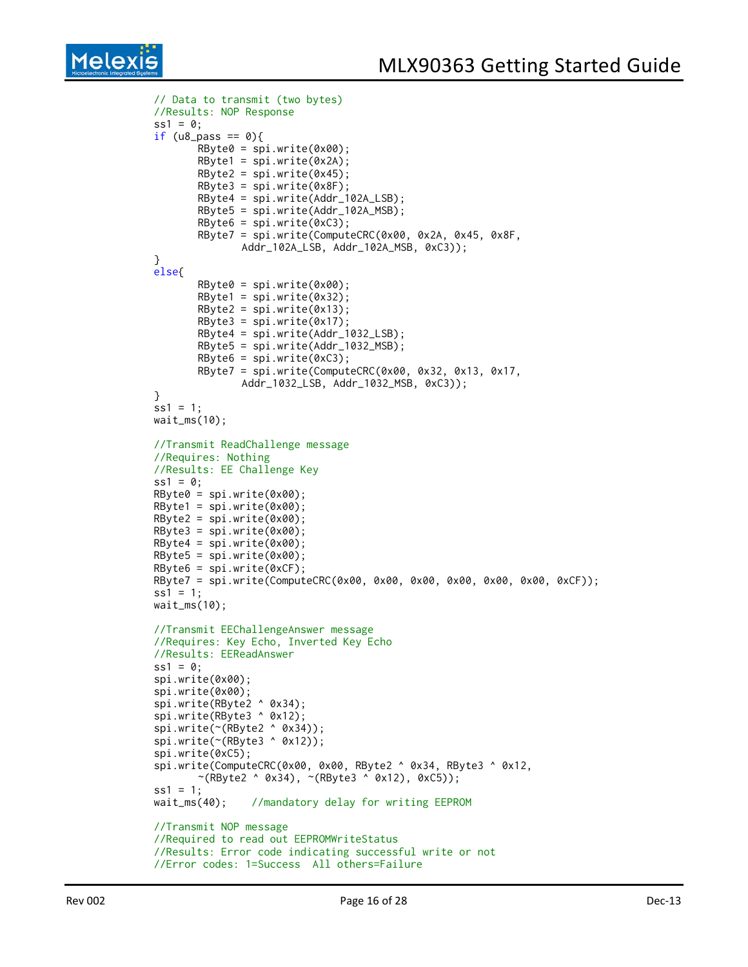```
Melex
```

```
// Data to transmit (two bytes)
//Results: NOP Response
ss1 = 0;if (u8_pass == 0){
       RByte0 = spi.write(0x00);
       RByte1 = spi.write(0x2A);RByte2 = spi.write(0x45);RByte3 = spi.write(0x8F);
       RByte4 = spi.write(Addr_102A_LSB);
       RByte5 = spi.write(Addr_102A_MSB);
       RByte6 = spi.write(0xC3);RByte7 = spi.write(ComputeCRC(0x00, 0x2A, 0x45, 0x8F,
              Addr_102A_LSB, Addr_102A_MSB, 0xC3));
}
else{
       RByte0 = spi.write(0x00);
       RBytel = spi.write(0x32);RByte2 = spi.write(0x13);RByte3 = spi.write(0x17);RByte4 = spi.write(Addr_1032_LSB);
       RByte5 = spi.write(Addr_1032_MSB);
       RByte6 = spi.write(0xC3);RByte7 = spi.write(ComputeCRC(0x00, 0x32, 0x13, 0x17,
              Addr_1032_LSB, Addr_1032_MSB, 0xC3));
}
ss1 = 1;wait_ms(10);
//Transmit ReadChallenge message
//Requires: Nothing
//Results: EE Challenge Key
ss1 = 0;RByte0 = spi.write(0x00);
RBytel = spi.write(0x00);RBvte2 = spi.write(0x00);RByte3 = spi.write(0x00);RByte4 = spi.write(0x00);RByte5 = spi.write(0x00);
RByte6 = spi.write(0xCF);RByte7 = spi.write(ComputeCRC(0x00, 0x00, 0x00, 0x00, 0x00, 0x00, 0xCF));
ss1 = 1;
wait_ms(10);
//Transmit EEChallengeAnswer message
//Requires: Key Echo, Inverted Key Echo
//Results: EEReadAnswer
ss1 = 0;
spi.write(0x00);
spi.write(0x00);
spi.write(RByte2 ^ 0x34);
spi.write(RByte3 ^ 0x12);
spi.write(~(RByte2 ^ 0x34));
spi.write(~(RByte3 ^ 0x12));
spi.write(0xC5);
spi.write(ComputeCRC(0x00, 0x00, RByte2 ^ 0x34, RByte3 ^ 0x12,
       \sim(RByte2 ^ 0x34), \sim(RByte3 ^ 0x12), 0xC5));
ss1 = 1:
wait_ms(40); //mandatory delay for writing EEPROM
//Transmit NOP message
//Required to read out EEPROMWriteStatus
//Results: Error code indicating successful write or not
//Error codes: 1=Success All others=Failure
```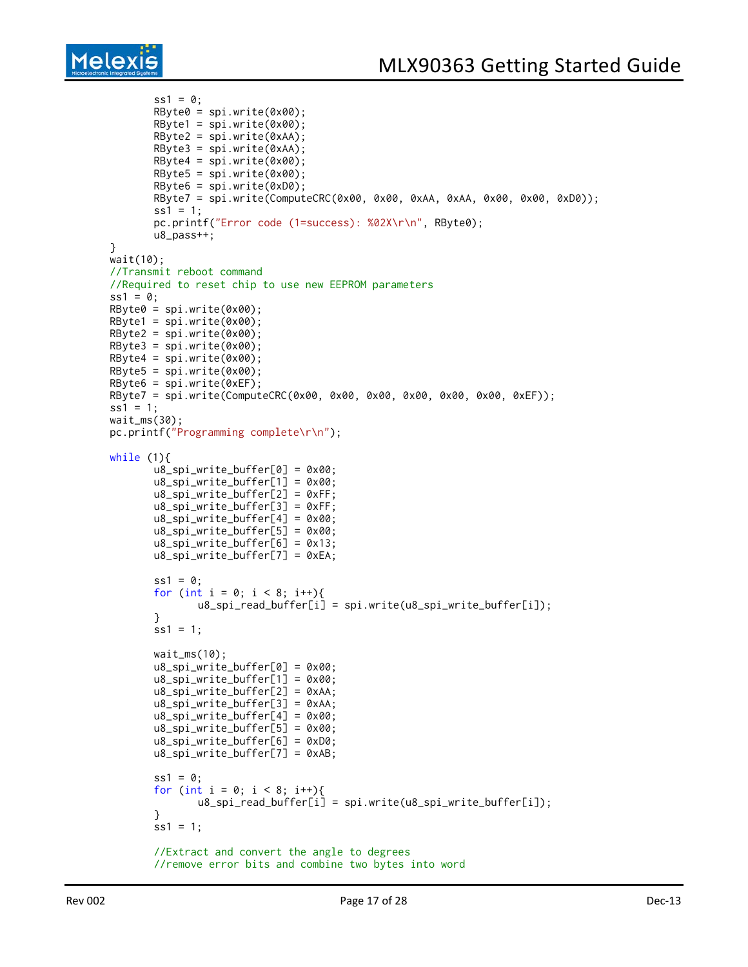```
ss1 = 0;
       RByte0 = spi.write(0x00);
       RByte1 = spi.write(0x00);RByte2 = spi.write(0xAA);
       RByte3 = spi.write(0xAA);
       RByte4 = spi.write(0x00);RByte5 = spi.write(0x00);RByte6 = spi.write(0xD0);
       RByte7 = spi.write(ComputeCRC(0x00, 0x00, 0xAA, 0xAA, 0x00, 0x00, 0xD0));
       ss1 = 1;
       pc.printf("Error code (1=success): %02X\r\n", RByte0);
       u8_pass++;
}
wait(10);
//Transmit reboot command
//Required to reset chip to use new EEPROM parameters
ss1 = 0;RByte0 = spi.write(0x00);RByte1 = spi.write(0x00);RByte2 = spi.write(0x00);RByte3 = spi.write(0x00);RByte4 = spi.write(0x00);
RByte5 = spi.write(0x00);RByte6 = spi.write(0xEF);RByte7 = spi.write(ComputeCRC(0x00, 0x00, 0x00, 0x00, 0x00, 0x00, 0xEF));
ss1 = 1;
wait_ms(30);
pc.printf("Programming complete\r\n");
while (1){
       u8_spi_write_buffer[0] = 0x00;
       u8_spi_write_buffer[1] = 0x00;
       u8_spi_write_buffer[2] = 0xFF;
       u8_spi_write_buffer[3] = 0xFF;
       u8_spi_write_buffer[4] = 0x00;
       u8_spi_write_buffer[5] = 0x00;
       u8_spi_write_buffer[6] = 0x13;
       u8_spi_write_buffer[7] = 0xEA;
       ss1 = 0:
       for (int i = 0; i < 8; i++){
              u8_spi_read_buffer[i] = spi.write(u8_spi_write_buffer[i]);
       }
       ss1 = 1;wait_ms(10);
       u8_spi_write_buffer[0] = 0x00;
       u8_spi_write_buffer[1] = 0x00;
       u8_spi_write_buffer[2] = 0xAA;
       u8_spi_write_buffer[3] = 0xAA;
       u8_spi_write_buffer[4] = 0x00;
       u8_spi_write_buffer[5] = 0x00;
       u8_spi_write_buffer[6] = 0xD0;
       u8_spi_write_buffer[7] = 0xAB;
       ss1 = 0;
       for (int i = 0; i < 8; i++){
              u8_spi_read_buffer[i] = spi.write(u8_spi_write_buffer[i]);
       }
       ss1 = 1;//Extract and convert the angle to degrees
       //remove error bits and combine two bytes into word
```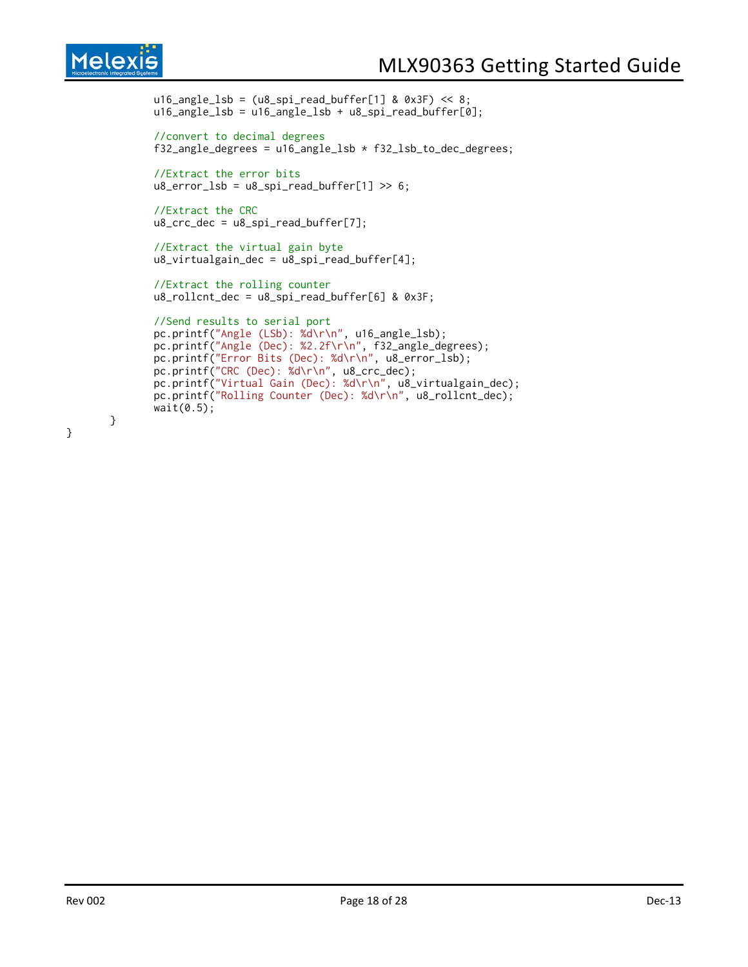## **Melexis**

```
u16_angle_lsb = (u8_spi_read_buffer[1] & 0x3F) << 8;
u16_angle_lsb = u16_angle_lsb + u8_spi_read_buffer[0];
//convert to decimal degrees
f32_angle_degrees = u16_angle_lsb * f32_lsb_to_dec_degrees;
//Extract the error bits
u8_error_lsb = u8_spi_read_buffer[1] >> 6;//Extract the CRC
u8\_crc\_dec = u8\_spin\_read\_buffer[7];//Extract the virtual gain byte
u8_virtualgain_dec = u8_spi_read_buffer[4];
//Extract the rolling counter
u8_rollcnt_dec = u8_spi_read_buffer[6] & 0x3F;
//Send results to serial port
pc.printf("Angle (LSb): %d\r\n", u16_angle_lsb);
pc.printf("Angle (Dec): %2.2f\r\n", f32_angle_degrees);
pc.printf("Error Bits (Dec): %d\r\n", u8_error_lsb);
pc.printf("CRC (Dec): %d\r\n", u8_crc_dec);
pc.printf("Virtual Gain (Dec): %d\r\n", u8_virtualgain_dec);
pc.printf("Rolling Counter (Dec): %d\r\n", u8_rollcnt_dec);
wait(0.5);
```

```
}
```
}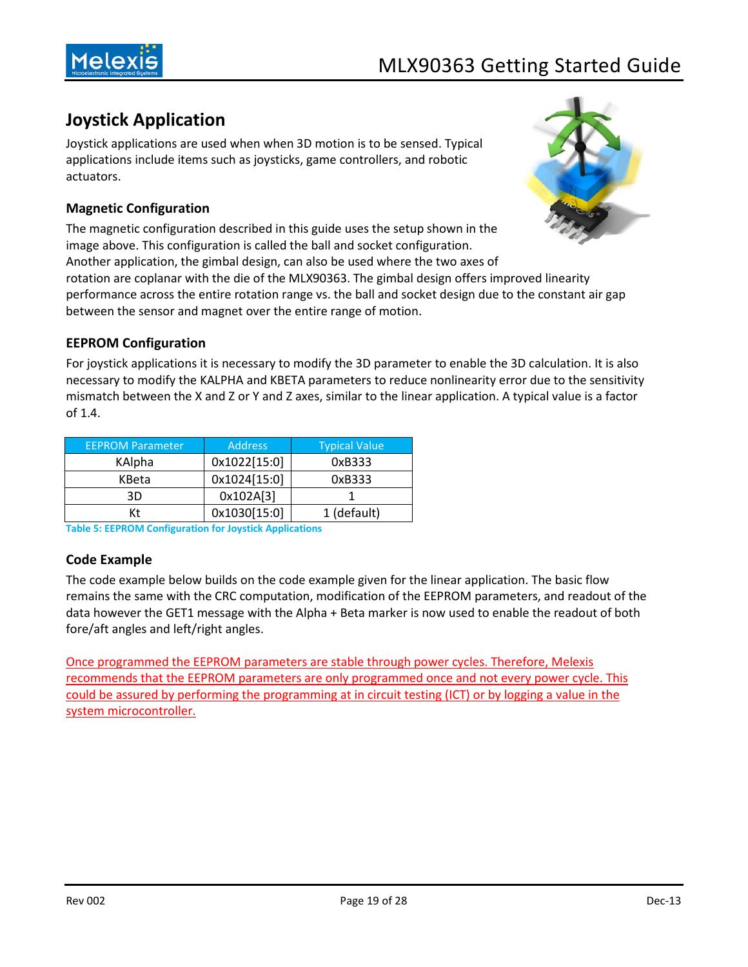

## <span id="page-18-0"></span>**Joystick Application**

Joystick applications are used when when 3D motion is to be sensed. Typical applications include items such as joysticks, game controllers, and robotic actuators.

#### <span id="page-18-1"></span>**Magnetic Configuration**

The magnetic configuration described in this guide uses the setup shown in the image above. This configuration is called the ball and socket configuration. Another application, the gimbal design, can also be used where the two axes of rotation are coplanar with the die of the MLX90363. The gimbal design offers improved linearity performance across the entire rotation range vs. the ball and socket design due to the constant air gap between the sensor and magnet over the entire range of motion.



#### <span id="page-18-2"></span>**EEPROM Configuration**

For joystick applications it is necessary to modify the 3D parameter to enable the 3D calculation. It is also necessary to modify the KALPHA and KBETA parameters to reduce nonlinearity error due to the sensitivity mismatch between the X and Z or Y and Z axes, similar to the linear application. A typical value is a factor of 1.4.

| <b>EEPROM Parameter</b> | <b>Address</b> | <b>Typical Value</b> |
|-------------------------|----------------|----------------------|
| KAlpha                  | 0x1022[15:0]   | 0xB333               |
| KBeta                   | 0x1024[15:0]   | 0xB333               |
| 3D                      | 0x102A[3]      |                      |
| Кt                      | 0x1030[15:0]   | 1 (default)          |

<span id="page-18-3"></span>**Table 5: EEPROM Configuration for Joystick Applications**

#### **Code Example**

The code example below builds on the code example given for the linear application. The basic flow remains the same with the CRC computation, modification of the EEPROM parameters, and readout of the data however the GET1 message with the Alpha + Beta marker is now used to enable the readout of both fore/aft angles and left/right angles.

Once programmed the EEPROM parameters are stable through power cycles. Therefore, Melexis recommends that the EEPROM parameters are only programmed once and not every power cycle. This could be assured by performing the programming at in circuit testing (ICT) or by logging a value in the system microcontroller.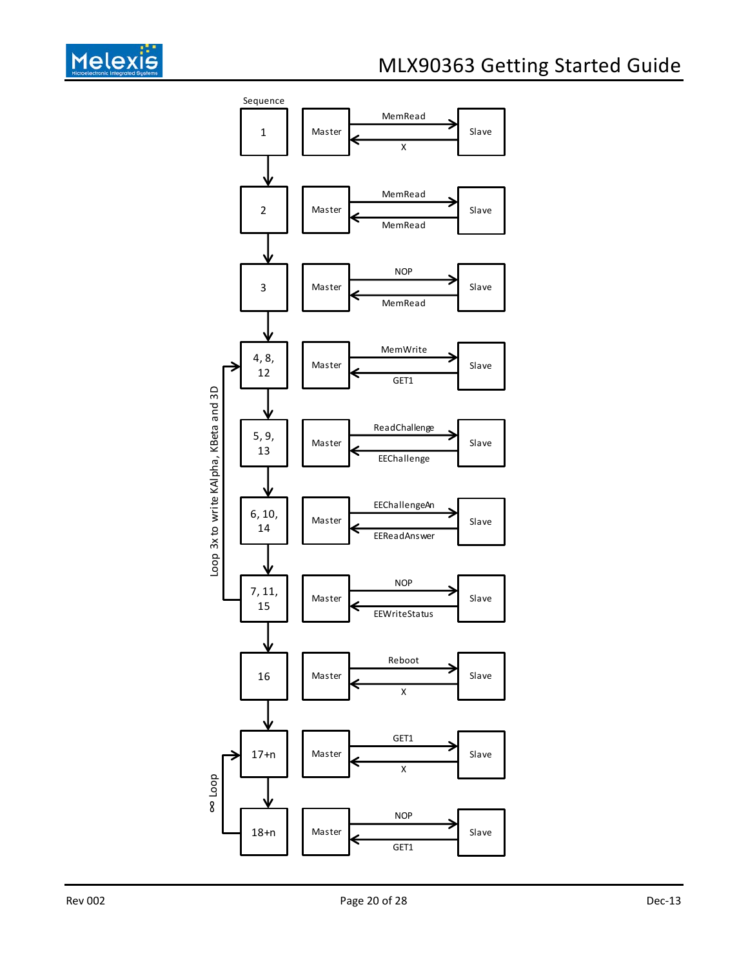

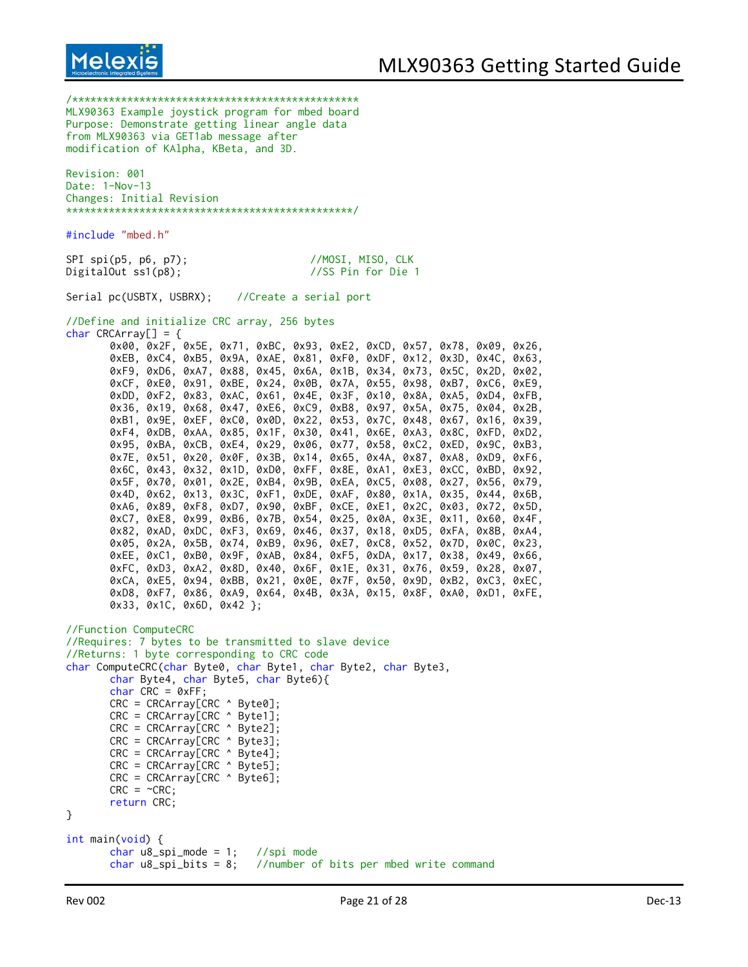

/\*\*\*\*\*\*\*\*\*\*\*\*\*\*\*\*\*\*\*\*\*\*\*\*\*\*\*\*\*\*\*\*\*\*\*\*\*\*\*\*\*\*\*\*\*\*\* MLX90363 Example joystick program for mbed board Purpose: Demonstrate getting linear angle data from MLX90363 via GET1ab message after modification of KAlpha, KBeta, and 3D. Revision: 001

Date: 1-Nov-13 Changes: Initial Revision \*\*\*\*\*\*\*\*\*\*\*\*\*\*\*\*\*\*\*\*\*\*\*\*\*\*\*\*\*\*\*\*\*\*\*\*\*\*\*\*\*\*\*\*\*\*\*/

#include "mbed.h"

| $SPI$ spi(p5, p6, p7);    | //MOSI, MISO, CLK  |  |  |
|---------------------------|--------------------|--|--|
| $Digit$ al $Out$ ss1(p8); | //SS Pin for Die 1 |  |  |

Serial pc(USBTX, USBRX); //Create a serial port

//Define and initialize CRC array, 256 bytes char  $CRCArray[] = {$ 

|  |                                      |  | 0x00, 0x2F, 0x5E, 0x71, 0xBC, 0x93, 0xE2, 0xCD, 0x57, 0x78, 0x09, 0x26, |  |  |  |  |
|--|--------------------------------------|--|-------------------------------------------------------------------------|--|--|--|--|
|  |                                      |  | 0xEB, 0xC4, 0xB5, 0x9A, 0xAE, 0x81, 0xF0, 0xDF, 0x12, 0x3D, 0x4C, 0x63, |  |  |  |  |
|  |                                      |  | 0xF9, 0xD6, 0xA7, 0x88, 0x45, 0x6A, 0x1B, 0x34, 0x73, 0x5C, 0x2D, 0x02, |  |  |  |  |
|  |                                      |  | 0xCF, 0xE0, 0x91, 0xBE, 0x24, 0x0B, 0x7A, 0x55, 0x98, 0xB7, 0xC6, 0xE9, |  |  |  |  |
|  |                                      |  | 0xDD, 0xF2, 0x83, 0xAC, 0x61, 0x4E, 0x3F, 0x10, 0x8A, 0xA5, 0xD4, 0xFB, |  |  |  |  |
|  |                                      |  | 0x36, 0x19, 0x68, 0x47, 0xE6, 0xC9, 0xB8, 0x97, 0x5A, 0x75, 0x04, 0x2B, |  |  |  |  |
|  |                                      |  | 0xB1, 0x9E, 0xEF, 0xC0, 0x0D, 0x22, 0x53, 0x7C, 0x48, 0x67, 0x16, 0x39, |  |  |  |  |
|  |                                      |  | 0xF4, 0xDB, 0xAA, 0x85, 0x1F, 0x30, 0x41, 0x6E, 0xA3, 0x8C, 0xFD, 0xD2, |  |  |  |  |
|  |                                      |  | 0x95, 0xBA, 0xCB, 0xE4, 0x29, 0x06, 0x77, 0x58, 0xC2, 0xED, 0x9C, 0xB3, |  |  |  |  |
|  |                                      |  | 0x7E, 0x51, 0x20, 0x0F, 0x3B, 0x14, 0x65, 0x4A, 0x87, 0xA8, 0xD9, 0xF6, |  |  |  |  |
|  |                                      |  | 0x6C, 0x43, 0x32, 0x1D, 0xD0, 0xFF, 0x8E, 0xA1, 0xE3, 0xCC, 0xBD, 0x92, |  |  |  |  |
|  |                                      |  | 0x5F, 0x70, 0x01, 0x2E, 0xB4, 0x9B, 0xEA, 0xC5, 0x08, 0x27, 0x56, 0x79, |  |  |  |  |
|  |                                      |  | 0x4D. 0x62. 0x13. 0x3C. 0xF1. 0xDE. 0xAF. 0x80. 0x1A. 0x35. 0x44. 0x6B. |  |  |  |  |
|  |                                      |  | 0xA6, 0x89, 0xF8, 0xD7, 0x90, 0xBF, 0xCE, 0xE1, 0x2C, 0x03, 0x72, 0x5D, |  |  |  |  |
|  |                                      |  | 0xC7, 0xE8, 0x99, 0xB6, 0x7B, 0x54, 0x25, 0x0A, 0x3E, 0x11, 0x60, 0x4F, |  |  |  |  |
|  |                                      |  | 0x82, 0xAD, 0xDC, 0xF3, 0x69, 0x46, 0x37, 0x18, 0xD5, 0xFA, 0x8B, 0xA4, |  |  |  |  |
|  |                                      |  | 0x05, 0x2A, 0x5B, 0x74, 0xB9, 0x96, 0xE7, 0xC8, 0x52, 0x7D, 0x0C, 0x23, |  |  |  |  |
|  |                                      |  | 0xEE, 0xC1, 0xB0, 0x9F, 0xAB, 0x84, 0xF5, 0xDA, 0x17, 0x38, 0x49, 0x66, |  |  |  |  |
|  |                                      |  | 0xFC, 0xD3, 0xA2, 0x8D, 0x40, 0x6F, 0x1E, 0x31, 0x76, 0x59, 0x28, 0x07, |  |  |  |  |
|  |                                      |  | 0xCA, 0xE5, 0x94, 0xBB, 0x21, 0x0E, 0x7F, 0x50, 0x9D, 0xB2, 0xC3, 0xEC, |  |  |  |  |
|  |                                      |  | 0xD8, 0xF7, 0x86, 0xA9, 0x64, 0x4B, 0x3A, 0x15, 0x8F, 0xA0, 0xD1, 0xFE, |  |  |  |  |
|  | $0x33$ , $0x1C$ , $0x6D$ , $0x42$ }; |  |                                                                         |  |  |  |  |

```
//Function ComputeCRC
//Requires: 7 bytes to be transmitted to slave device
//Returns: 1 byte corresponding to CRC code
char ComputeCRC(char Byte0, char Byte1, char Byte2, char Byte3,
       char Byte4, char Byte5, char Byte6){
       char CRC = ØxFF;
       CRC = CRCArray[CRC ^ Byte0];
       CRC = CRCArray[CRC ^ Byte1];
       CRC = CRCArray[CRC ^ Byte2];
       CRC = CRCArray[CRC ^ Byte3];
       CRC = CRCArray[CRC ^ Byte4];
       CRC = CRCArray[CRC ^ Byte5];
       CRC = CRCArray[CRC ^ Byte6];
       CRC = \sim CRC;
       return CRC;
}
int main(void) {
       char u8_spi_mode = 1; //spi mode
       char u8_spi_bits = 8; //number of bits per mbed write command
```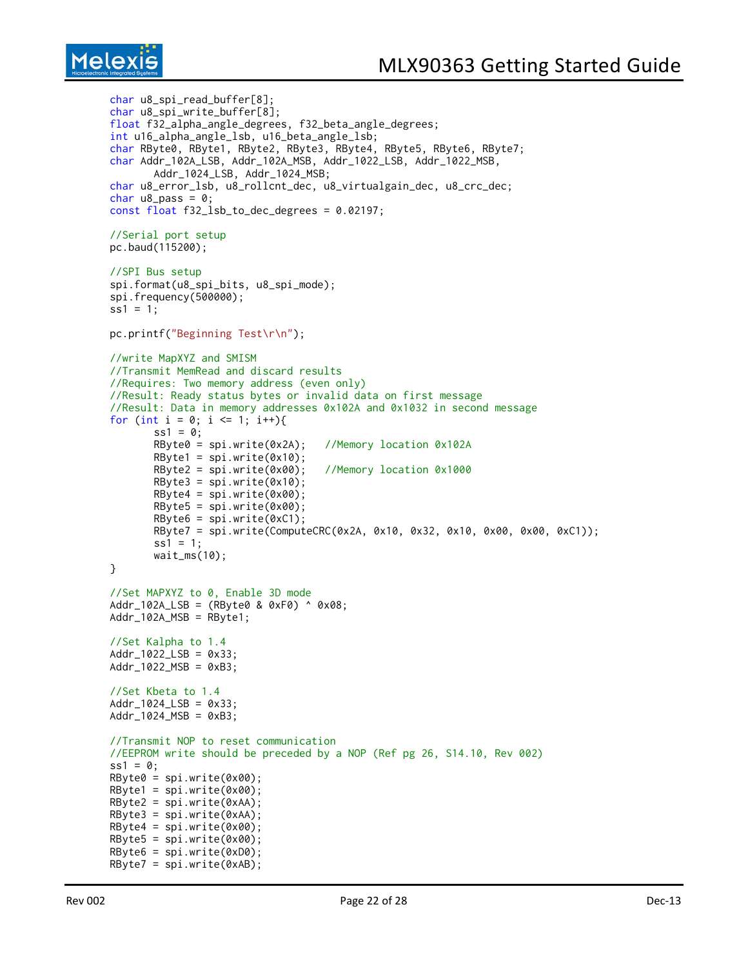```
char u8_spi_read_buffer[8];
char u8_spi_write_buffer[8];
float f32_alpha_angle_degrees, f32_beta_angle_degrees;
int u16_alpha_angle_lsb, u16_beta_angle_lsb;
char RByte0, RByte1, RByte2, RByte3, RByte4, RByte5, RByte6, RByte7;
char Addr_102A_LSB, Addr_102A_MSB, Addr_1022_LSB, Addr_1022_MSB,
       Addr_1024_LSB, Addr_1024_MSB;
char u8_error_lsb, u8_rollcnt_dec, u8_virtualgain_dec, u8_crc_dec;
char u8_pass = 0;
const float f32_lsb_to_dec_degrees = 0.02197;
//Serial port setup
pc.baud(115200);
//SPI Bus setup
spi.format(u8_spi_bits, u8_spi_mode);
spi.frequency(500000);
ss1 = 1;pc.printf("Beginning Test\r\n");
//write MapXYZ and SMISM
//Transmit MemRead and discard results
//Requires: Two memory address (even only)
//Result: Ready status bytes or invalid data on first message
//Result: Data in memory addresses 0x102A and 0x1032 in second message
for (int i = 0; i \le 1; i++){
       ss1 = 0;
       RByte0 = spi.write(0x2A); //Memory location 0x102A
       RByte1 = spi.write(0x10);RByte2 = spi.write(0x00); //Memory location 0x1000
       RByte3 = spi.write(0x10);RByte4 = spi.write(0x00);RByte5 = spi.write(0x00);RByte6 = spi.write(0xC1);RByte7 = spi.write(ComputeCRC(0x2A, 0x10, 0x32, 0x10, 0x00, 0x00, 0xC1));
       ss1 = 1;wait_ms(10);
}
//Set MAPXYZ to 0, Enable 3D mode
Addr_102A_LSB = (RByte0 & 0xF0) ^ 0x08;
Addr_102A_MSB = RByte1;//Set Kalpha to 1.4
Addr_1022_LSB = 0x33;
Addr_1022 MSB = 0xB3;
//Set Kbeta to 1.4
Addr_1024_LSB = 0x33;
Addr_1024 MSB = 0xB3;//Transmit NOP to reset communication
//EEPROM write should be preceded by a NOP (Ref pg 26, S14.10, Rev 002)
ss1 = 0;RByte0 = spi.write(0x00);RByte1 = spi.write(0x00);RByte2 = spi.write(0xAA);RByte3 = spi.write(0xAA);RByte4 = spi.write(0x00);RByte5 = spi.write(0x00);RByte6 = spi.write(0xD0);
RByte7 = spi.write(0xAB);
```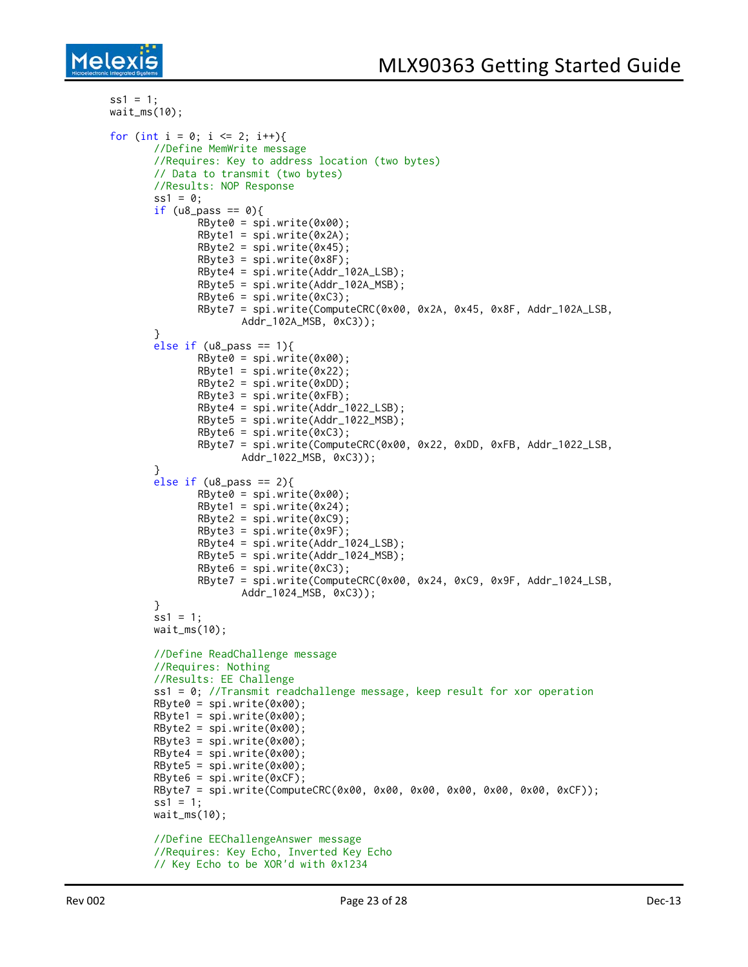```
ss1 = 1;
wait_ms(10);
for (int i = 0; i <= 2; i++){
       //Define MemWrite message
       //Requires: Key to address location (two bytes)
       // Data to transmit (two bytes)
       //Results: NOP Response
       ss1 = 0;
       if (u8_pass == 0){
              RByte@ = spi.write(0x00);RBytel = spi.write(0x2A);RByte2 = spi.write(0x45);RByte3 = spi.write(0x8F);
              RByte4 = spi.write(Addr_102A_LSB);
              RByte5 = spi.write(Addr_102A_MSB);
              RByte6 = spi.write(0xC3);RByte7 = spi.write(ComputeCRC(0x00, 0x2A, 0x45, 0x8F, Addr_102A_LSB,
                     Addr_102A_MSB, 0xC3));
       }
       else if (u8_pass == 1){
              RByte@ = spi.write(0x00);RByte1 = spi.write(0x22);RByte2 = spi.write(0xDD);
              RByte3 = spi.write(0xFB);
              RByte4 = spi.write(Addr_1022_LSB);
              RByte5 = spi.write(Addr_1022_MSB);
              RByte6 = spi.write(0xC3);RByte7 = spi.write(ComputeCRC(0x00, 0x22, 0xDD, 0xFB, Addr_1022_LSB,
                     Addr_1022_MSB, 0xC3));
       }
       else if (u8_pass == 2){
              RByte@ = spi.write(0x00);RBytel = spi.write(0x24);RByte2 = spi.write(0xC9);RByte3 = spi.write(0x9F);RByte4 = spi.write(Addr_1024_LSB);
              RByte5 = spi.write(Addr_1024_MSB);
              RByte6 = spi.write(0xC3);RByte7 = spi.write(ComputeCRC(0x00, 0x24, 0xC9, 0x9F, Addr_1024_LSB,
                     Addr_1024_MSB, 0xC3));
       }
       ss1 = 1;wait_ms(10);
       //Define ReadChallenge message
       //Requires: Nothing
       //Results: EE Challenge
       ss1 = 0; //Transmit readchallenge message, keep result for xor operation
       RByte@ = spi.write(0x00);RByte1 = spi.write(0x00);RByte2 = spi.write(0x00);RByte3 = spi.write(0x00);RByte4 = spi.write(0x00);RByte5 = spi.write(0x00);RByte6 = spi.write(0xCF);RByte7 = spi.write(ComputeCRC(0x00, 0x00, 0x00, 0x00, 0x00, 0x00, 0xCF));
       ss1 = 1;
       waitms(10);
       //Define EEChallengeAnswer message
       //Requires: Key Echo, Inverted Key Echo
       // Key Echo to be XOR'd with 0x1234
```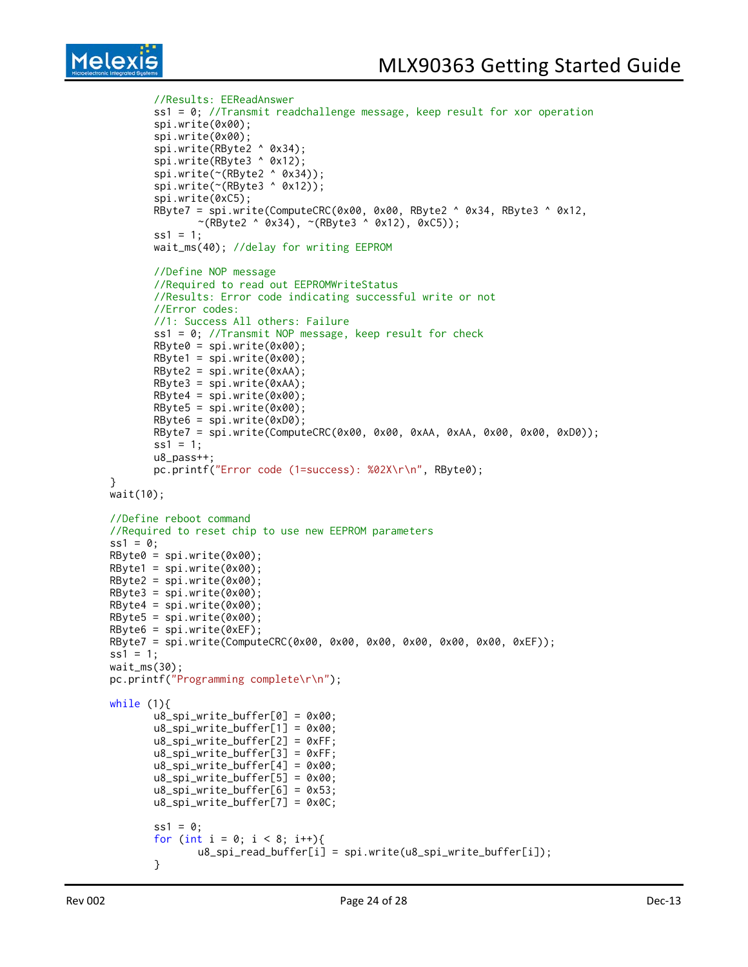```
//Results: EEReadAnswer
       ss1 = 0; //Transmit readchallenge message, keep result for xor operation
       spi.write(0x00);
       spi.write(0x00);
       spi.write(RByte2 ^ 0x34);
       spi.write(RByte3 ^ 0x12);
       spi.write(~(RByte2 ^ 0x34));
       spi.write(~(RByte3 ^ 0x12));
       spi.write(0xC5);
       RByte7 = spi.write(ComputeCRC(0x00, 0x00, RByte2 ^ 0x34, RByte3 ^ 0x12,
              \sim(RByte2 ^ 0x34), \sim(RByte3 ^ 0x12), 0xC5));
       ss1 = 1:
       wait_ms(40); //delay for writing EEPROM
       //Define NOP message
       //Required to read out EEPROMWriteStatus
       //Results: Error code indicating successful write or not
       //Error codes:
       //1: Success All others: Failure
       ss1 = 0; //Transmit NOP message, keep result for check
       RByte@ = spi.write(0x0@);RByte1 = spi.write(0x00);
       RByte2 = spi.write(0xAA);
       RByte3 = spi.write(0xAA);RByte4 = spi.write(0x00);RByte5 = spi.write(0x00);RByte6 = spi.write(0xD0);RByte7 = spi.write(ComputeCRC(0x00, 0x00, 0xAA, 0xAA, 0x00, 0x00, 0xD0));
       ss1 = 1;
       u8_pass++;
       pc.printf("Error code (1=success): %02X\r\n", RByte0);
}
wait(10);
//Define reboot command
//Required to reset chip to use new EEPROM parameters
ss1 = 0;RByte0 = spi.write(0x00);RByte1 = spi.write(0x00);RByte2 = spi.write(0x00);RByte3 = spi.write(0x00);RByte4 = spi.write(0x00);RByte5 = spi.write(0x00);
RByte6 = spi.write(0xEF);
RByte7 = spi.write(ComputeCRC(0x00, 0x00, 0x00, 0x00, 0x00, 0x00, 0xEF));
ss1 = 1;
wait_ms(30);
pc.printf("Programming complete\r\n");
while (1){
       u8_spi_write_buffer[0] = 0x00;
       u8_spi_write_buffer[1] = 0x00;
       u8_spi_write_buffer[2] = 0xFF;
       u8_spi_write_buffer[3] = 0xFF;
       u8_spi_write_buffer[4] = 0x00;
       u8_spi_write_buffer[5] = 0x00;
       u8_spi_write_buffer[6] = 0x53;
       u8_spi_write_buffer[7] = 0x0C;
       ss1 = 0;for (int i = 0; i < 8; i++){
              u8_spi_read_buffer[i] = spi.write(u8_spi_write_buffer[i]);
       }
```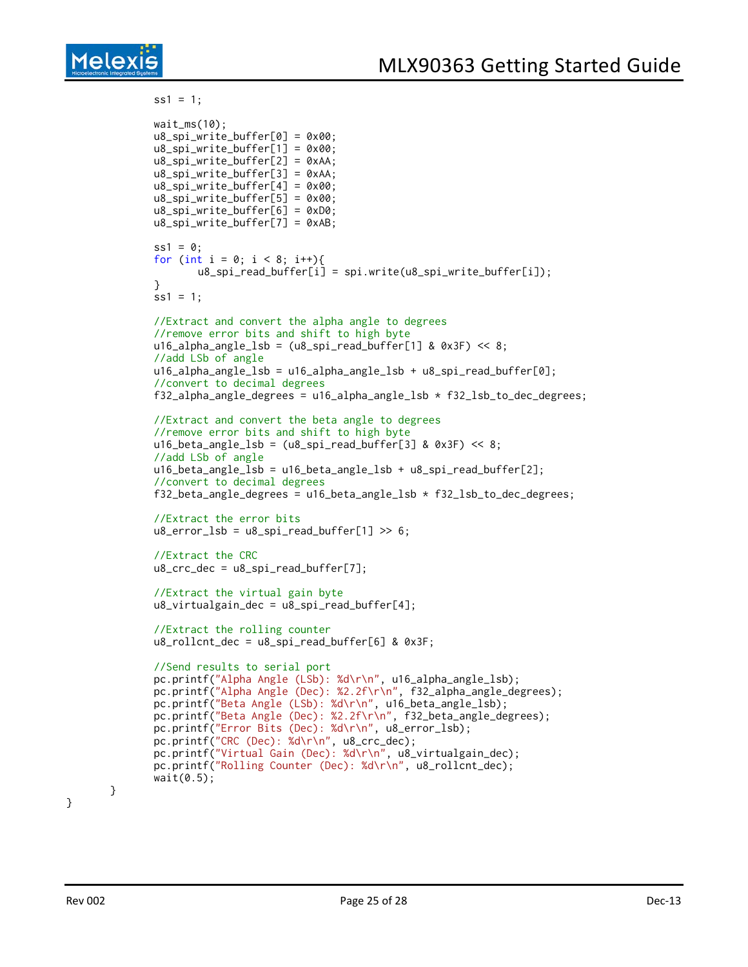

```
ss1 = 1;wait_ms(10);
u8_spi_write_buffer[0] = 0x00;
u8_spi_write_buffer[1] = 0x00;
u8_spi_write_buffer[2] = 0xAA;
u8_spi_write_buffer[3] = 0xAA;
u8_spi_write_buffer[4] = 0x00;
u8_spi_write_buffer[5] = 0x00;
u8_spi_write_buffer[6] = 0xD0;
u8_spi_write_buffer[7] = 0xAB;
ss1 = 0;
for (int i = 0; i < 8; i++){
       u8_spi_read_buffer[i] = spi.write(u8_spi_write_buffer[i]);
}
ss1 = 1;
//Extract and convert the alpha angle to degrees
//remove error bits and shift to high byte
u16_alpha_angle_lsb = (u8_spi_read_buffer[1] & 0x3F) << 8;
//add LSb of angle
u16_alpha_angle_lsb = u16_alpha_angle_lsb + u8_spi_read_buffer[0];
//convert to decimal degrees
f32_alpha_angle_degrees = u16_alpha_angle_lsb * f32_lsb_to_dec_degrees;
//Extract and convert the beta angle to degrees
//remove error bits and shift to high byte
u16_beta_angle_lsb = (u8_spi_read_buffer[3] & 0x3F) << 8;
//add LSb of angle
u16_beta_angle_lsb = u16_beta_angle_lsb + u8_spi_read_buffer[2];
//convert to decimal degrees
f32_beta_angle_d degrees = u16_beta_angle_lsb * f32_lsb_to_dec_degrees;//Extract the error bits
u8_error = u8_spi_read_buffer[1] >> 6;//Extract the CRC
u8\_crc\_dec = u8\_spi\_read\_buffer[7];//Extract the virtual gain byte
u8_virtualgain_dec = u8_spi_read_buffer[4];
//Extract the rolling counter
u8_rollcnt_dec = u8_spi_read_buffer[6] & 0x3F;
//Send results to serial port
pc.printf("Alpha Angle (LSb): %d\r\n", u16_alpha_angle_lsb);
pc.printf("Alpha Angle (Dec): %2.2f\r\n", f32_alpha_angle_degrees);
pc.printf("Beta Angle (LSb): %d\r\n", u16_beta_angle_lsb);
pc.printf("Beta Angle (Dec): %2.2f\r\n", f32_beta_angle_degrees);
pc.printf("Error Bits (Dec): %d\r\n", u8_error_lsb);
pc.printf("CRC (Dec): %d\r\n", u8_crc_dec);
pc.printf("Virtual Gain (Dec): %d\r\n", u8_virtualgain_dec);
pc.printf("Rolling Counter (Dec): %d\r\n", u8_rollcnt_dec);
wait(0.5);
```
}

}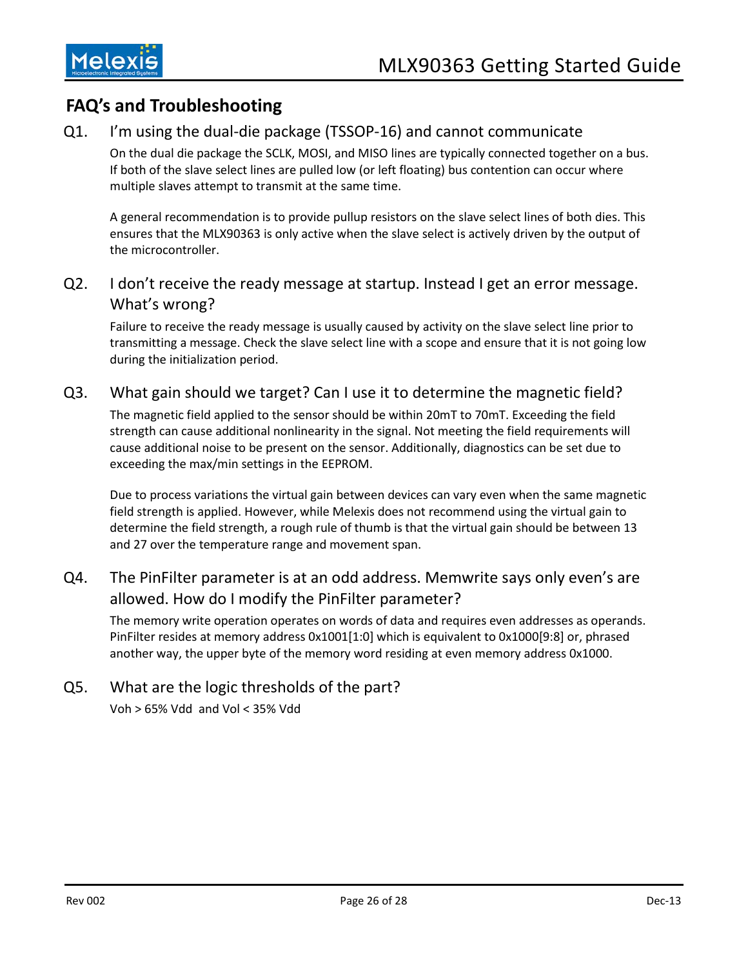

## <span id="page-25-0"></span>**FAQ's and Troubleshooting**

### Q1. I'm using the dual-die package (TSSOP-16) and cannot communicate

On the dual die package the SCLK, MOSI, and MISO lines are typically connected together on a bus. If both of the slave select lines are pulled low (or left floating) bus contention can occur where multiple slaves attempt to transmit at the same time.

A general recommendation is to provide pullup resistors on the slave select lines of both dies. This ensures that the MLX90363 is only active when the slave select is actively driven by the output of the microcontroller.

### Q2. I don't receive the ready message at startup. Instead I get an error message. What's wrong?

Failure to receive the ready message is usually caused by activity on the slave select line prior to transmitting a message. Check the slave select line with a scope and ensure that it is not going low during the initialization period.

#### Q3. What gain should we target? Can I use it to determine the magnetic field?

The magnetic field applied to the sensor should be within 20mT to 70mT. Exceeding the field strength can cause additional nonlinearity in the signal. Not meeting the field requirements will cause additional noise to be present on the sensor. Additionally, diagnostics can be set due to exceeding the max/min settings in the EEPROM.

Due to process variations the virtual gain between devices can vary even when the same magnetic field strength is applied. However, while Melexis does not recommend using the virtual gain to determine the field strength, a rough rule of thumb is that the virtual gain should be between 13 and 27 over the temperature range and movement span.

### Q4. The PinFilter parameter is at an odd address. Memwrite says only even's are allowed. How do I modify the PinFilter parameter?

The memory write operation operates on words of data and requires even addresses as operands. PinFilter resides at memory address 0x1001[1:0] which is equivalent to 0x1000[9:8] or, phrased another way, the upper byte of the memory word residing at even memory address 0x1000.

### Q5. What are the logic thresholds of the part?

Voh > 65% Vdd and Vol < 35% Vdd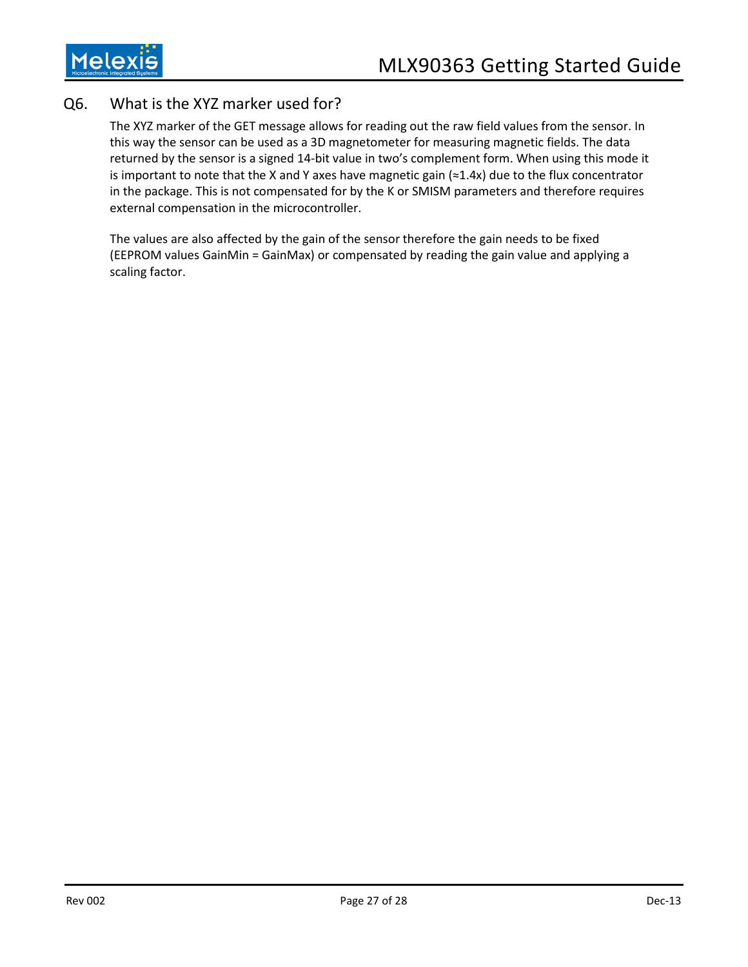### Q6. What is the XYZ marker used for?

The XYZ marker of the GET message allows for reading out the raw field values from the sensor. In this way the sensor can be used as a 3D magnetometer for measuring magnetic fields. The data returned by the sensor is a signed 14-bit value in two's complement form. When using this mode it is important to note that the X and Y axes have magnetic gain (≈1.4x) due to the flux concentrator in the package. This is not compensated for by the K or SMISM parameters and therefore requires external compensation in the microcontroller.

The values are also affected by the gain of the sensor therefore the gain needs to be fixed (EEPROM values GainMin = GainMax) or compensated by reading the gain value and applying a scaling factor.